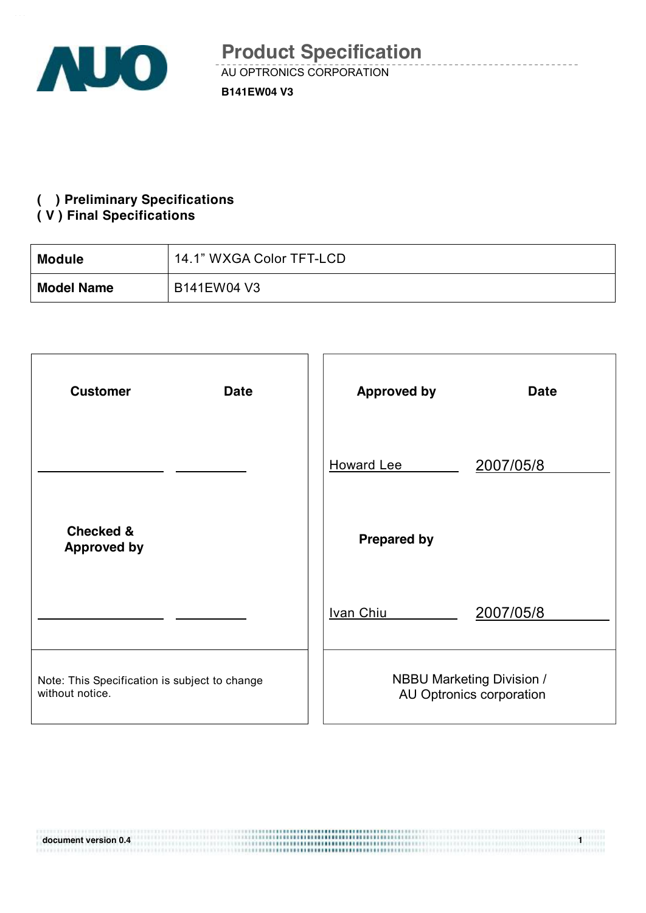

## **( ) Preliminary Specifications**

#### **( V ) Final Specifications**

11191010110101011111111

| <b>Module</b>     | 14.1" WXGA Color TFT-LCD |
|-------------------|--------------------------|
| <b>Model Name</b> | B141EW04 V3              |

| <b>Customer</b><br><b>Date</b>                                   | <b>Approved by</b><br><b>Date</b>                            |
|------------------------------------------------------------------|--------------------------------------------------------------|
|                                                                  | 2007/05/8<br><b>Howard Lee</b>                               |
| <b>Checked &amp;</b><br><b>Approved by</b>                       | <b>Prepared by</b>                                           |
|                                                                  | 2007/05/8<br>Ivan Chiu                                       |
| Note: This Specification is subject to change<br>without notice. | <b>NBBU Marketing Division /</b><br>AU Optronics corporation |

**document version 0.4 1**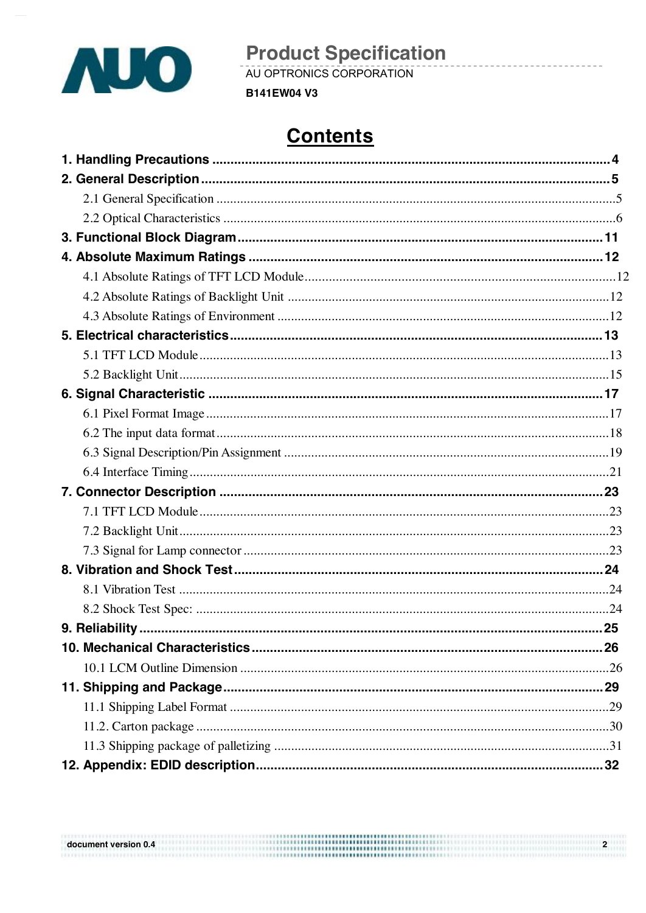

**Product Specification**<br>AU OPTRONICS CORPORATION

**B141EW04 V3** 

# **Contents**

| document version 0.4 | ,,,,,,,,,,,,,,,,,,,,,,,,,,,,,,,,,,, |  |
|----------------------|-------------------------------------|--|
|                      |                                     |  |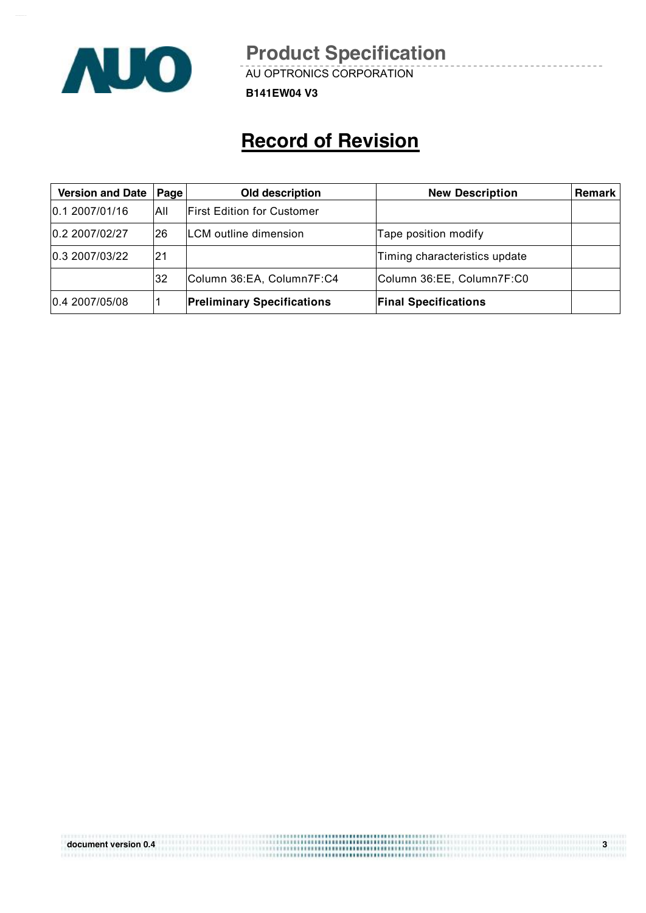

AU OPTRONICS CORPORATION

**B141EW04 V3**

# **Record of Revision**

| <b>Version and Date</b> | Page | Old description                   | <b>New Description</b>        | <b>Remark</b> |
|-------------------------|------|-----------------------------------|-------------------------------|---------------|
| 0.12007/01/16           | All  | <b>First Edition for Customer</b> |                               |               |
| 0.2 2007/02/27          | 26   | <b>ILCM</b> outline dimension     | Tape position modify          |               |
| 0.3 2007/03/22          | 21   |                                   | Timing characteristics update |               |
|                         | 32   | Column 36:EA, Column7F:C4         | Column 36:EE, Column7F:C0     |               |
| 0.4 2007/05/08          |      | <b>Preliminary Specifications</b> | <b>Final Specifications</b>   |               |

| document version 0.4 | ********************************* |  |
|----------------------|-----------------------------------|--|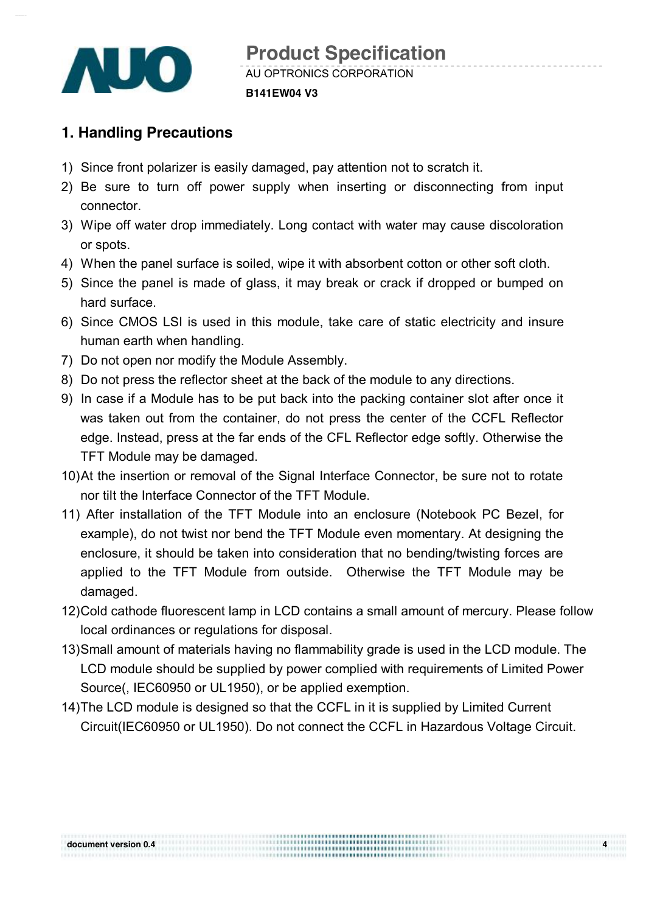

## **1. Handling Precautions**

- 1) Since front polarizer is easily damaged, pay attention not to scratch it.
- 2) Be sure to turn off power supply when inserting or disconnecting from input connector.
- 3) Wipe off water drop immediately. Long contact with water may cause discoloration or spots.
- 4) When the panel surface is soiled, wipe it with absorbent cotton or other soft cloth.
- 5) Since the panel is made of glass, it may break or crack if dropped or bumped on hard surface.
- 6) Since CMOS LSI is used in this module, take care of static electricity and insure human earth when handling.
- 7) Do not open nor modify the Module Assembly.
- 8) Do not press the reflector sheet at the back of the module to any directions.
- 9) In case if a Module has to be put back into the packing container slot after once it was taken out from the container, do not press the center of the CCFL Reflector edge. Instead, press at the far ends of the CFL Reflector edge softly. Otherwise the TFT Module may be damaged.
- 10)At the insertion or removal of the Signal Interface Connector, be sure not to rotate nor tilt the Interface Connector of the TFT Module.
- 11) After installation of the TFT Module into an enclosure (Notebook PC Bezel, for example), do not twist nor bend the TFT Module even momentary. At designing the enclosure, it should be taken into consideration that no bending/twisting forces are applied to the TFT Module from outside. Otherwise the TFT Module may be damaged.
- 12)Cold cathode fluorescent lamp in LCD contains a small amount of mercury. Please follow local ordinances or regulations for disposal.
- 13)Small amount of materials having no flammability grade is used in the LCD module. The LCD module should be supplied by power complied with requirements of Limited Power Source(, IEC60950 or UL1950), or be applied exemption.
- 14)The LCD module is designed so that the CCFL in it is supplied by Limited Current Circuit(IEC60950 or UL1950). Do not connect the CCFL in Hazardous Voltage Circuit.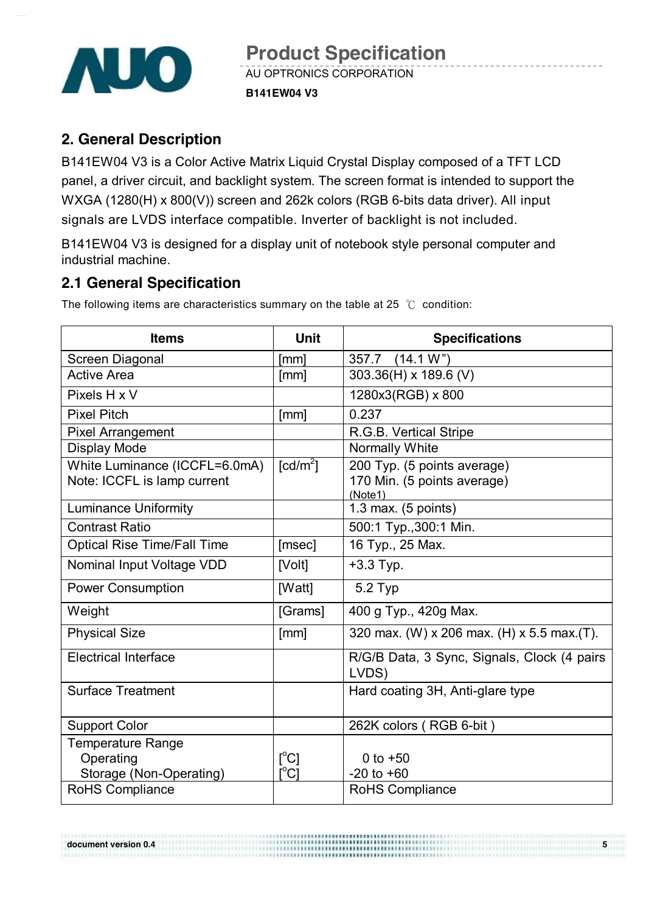

### **2. General Description**

B141EW04 V3 is a Color Active Matrix Liquid Crystal Display composed of a TFT LCD panel, a driver circuit, and backlight system. The screen format is intended to support the WXGA (1280(H) x 800(V)) screen and 262k colors (RGB 6-bits data driver). All input signals are LVDS interface compatible. Inverter of backlight is not included.

B141EW04 V3 is designed for a display unit of notebook style personal computer and industrial machine.

### **2.1 General Specification**

The following items are characteristics summary on the table at 25 ℃ condition:

| <b>Items</b>                       | <b>Unit</b>                             | <b>Specifications</b>                                |
|------------------------------------|-----------------------------------------|------------------------------------------------------|
| Screen Diagonal                    | [mm]                                    | (14.1 W")<br>357.7                                   |
| <b>Active Area</b>                 | [mm]                                    | 303.36(H) x 189.6 (V)                                |
| Pixels H x V                       |                                         | 1280x3(RGB) x 800                                    |
| <b>Pixel Pitch</b>                 | [mm]                                    | 0.237                                                |
| <b>Pixel Arrangement</b>           |                                         | R.G.B. Vertical Stripe                               |
| <b>Display Mode</b>                |                                         | <b>Normally White</b>                                |
| White Luminance (ICCFL=6.0mA)      | $\lceil cd/m^2 \rceil$                  | 200 Typ. (5 points average)                          |
| Note: ICCFL is lamp current        |                                         | 170 Min. (5 points average)                          |
| <b>Luminance Uniformity</b>        |                                         | (Note1)<br>1.3 max. $(5$ points)                     |
| <b>Contrast Ratio</b>              |                                         | 500:1 Typ., 300:1 Min.                               |
| <b>Optical Rise Time/Fall Time</b> | [msec]                                  | 16 Typ., 25 Max.                                     |
| Nominal Input Voltage VDD          | [Volt]                                  | $+3.3$ Typ.                                          |
| <b>Power Consumption</b>           | [Watt]                                  | 5.2 Typ                                              |
| Weight                             | [Grams]                                 | 400 g Typ., 420g Max.                                |
| <b>Physical Size</b>               | [mm]                                    | 320 max. (W) x 206 max. (H) x 5.5 max. (T).          |
| <b>Electrical Interface</b>        |                                         | R/G/B Data, 3 Sync, Signals, Clock (4 pairs<br>LVDS) |
| <b>Surface Treatment</b>           |                                         | Hard coating 3H, Anti-glare type                     |
| <b>Support Color</b>               |                                         | 262K colors (RGB 6-bit)                              |
| <b>Temperature Range</b>           |                                         |                                                      |
| Operating                          | $\lceil^{\circ}C\rceil$                 | 0 to $+50$                                           |
| Storage (Non-Operating)            | $\mathsf{I}^\circ\mathsf{C} \mathsf{I}$ | $-20$ to $+60$                                       |
| <b>RoHS Compliance</b>             |                                         | <b>RoHS Compliance</b>                               |

\*\*\*\*\*\*\*\*\*\*\*\*\*\*\*\*\*\*\*\*\*\*\*\*\*\*\*\*

**document version 0.4 5**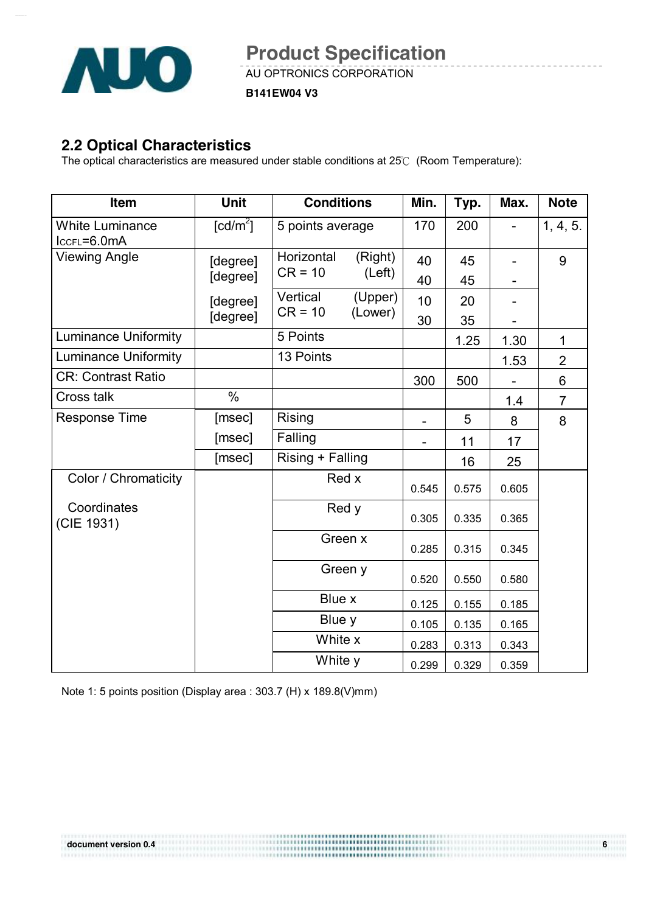

**B141EW04 V3**

### **2.2 Optical Characteristics**

The optical characteristics are measured under stable conditions at 25℃ (Room Temperature):

| Item                                  | <b>Unit</b>          | <b>Conditions</b>                            | Min.     | Typ.     | Max.         | <b>Note</b>    |
|---------------------------------------|----------------------|----------------------------------------------|----------|----------|--------------|----------------|
| <b>White Luminance</b><br>IccFL=6.0mA | [cd/m <sup>2</sup> ] | 5 points average                             | 170      | 200      |              | 1, 4, 5.       |
| <b>Viewing Angle</b>                  | [degree]<br>[degree] | Horizontal<br>(Right)<br>$CR = 10$<br>(Left) | 40<br>40 | 45<br>45 |              | 9              |
|                                       | [degree]             | Vertical<br>(Upper)<br>$CR = 10$<br>(Lower)  | 10       | 20       |              |                |
| <b>Luminance Uniformity</b>           | [degree]             | 5 Points                                     | 30       | 35       |              | $\mathbf{1}$   |
| <b>Luminance Uniformity</b>           |                      | 13 Points                                    |          | 1.25     | 1.30<br>1.53 | $\overline{2}$ |
| <b>CR: Contrast Ratio</b>             |                      |                                              | 300      | 500      |              | 6              |
| Cross talk                            | $\frac{0}{0}$        |                                              |          |          | 1.4          | $\overline{7}$ |
| <b>Response Time</b>                  | [msec]               | Rising                                       |          | 5        | 8            | 8              |
|                                       | [msec]               | Falling                                      |          | 11       | 17           |                |
|                                       | [msec]               | Rising + Falling                             |          | 16       | 25           |                |
| Color / Chromaticity                  |                      | Red x                                        | 0.545    | 0.575    | 0.605        |                |
| Coordinates<br>(CIE 1931)             |                      | Red y                                        | 0.305    | 0.335    | 0.365        |                |
|                                       |                      | Green x                                      | 0.285    | 0.315    | 0.345        |                |
|                                       |                      | Green y                                      | 0.520    | 0.550    | 0.580        |                |
|                                       |                      | Blue x                                       | 0.125    | 0.155    | 0.185        |                |
|                                       |                      | Blue y                                       | 0.105    | 0.135    | 0.165        |                |
|                                       |                      | White x                                      | 0.283    | 0.313    | 0.343        |                |
|                                       |                      | White y                                      | 0.299    | 0.329    | 0.359        |                |

Note 1: 5 points position (Display area : 303.7 (H) x 189.8(V)mm)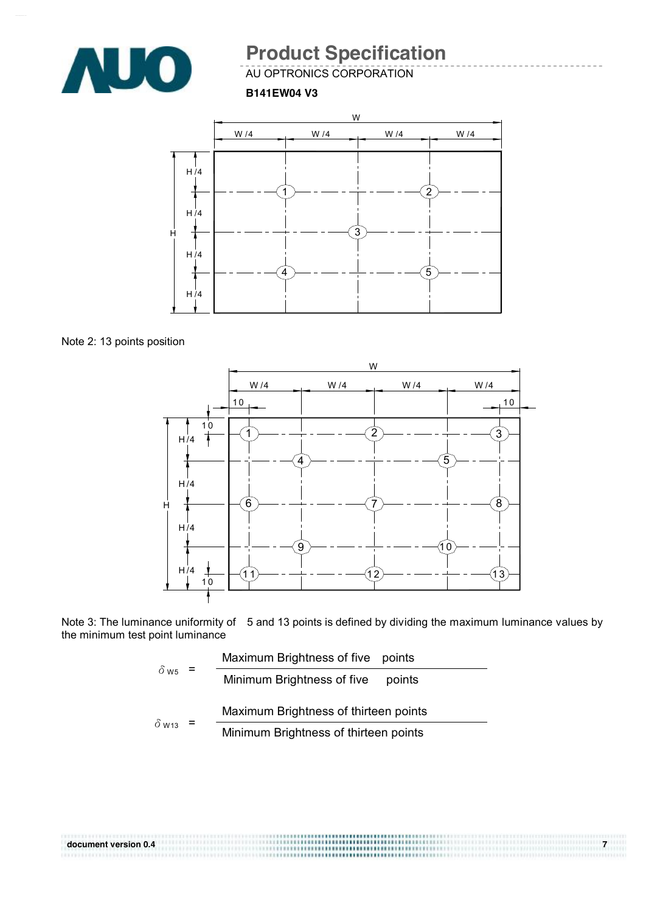

AU OPTRONICS CORPORATION

**B141EW04 V3**



Note 2: 13 points position



Note 3: The luminance uniformity of 5 and 13 points is defined by dividing the maximum luminance values by the minimum test point luminance

|                         | Maximum Brightness of five points     |                                       |
|-------------------------|---------------------------------------|---------------------------------------|
| $\delta$ w <sub>5</sub> | $=$                                   | Minimum Brightness of five<br>points  |
|                         |                                       | Maximum Brightness of thirteen points |
| $\delta$ W13            | Minimum Brightness of thirteen points |                                       |

| document version 0.4 |  |
|----------------------|--|
|                      |  |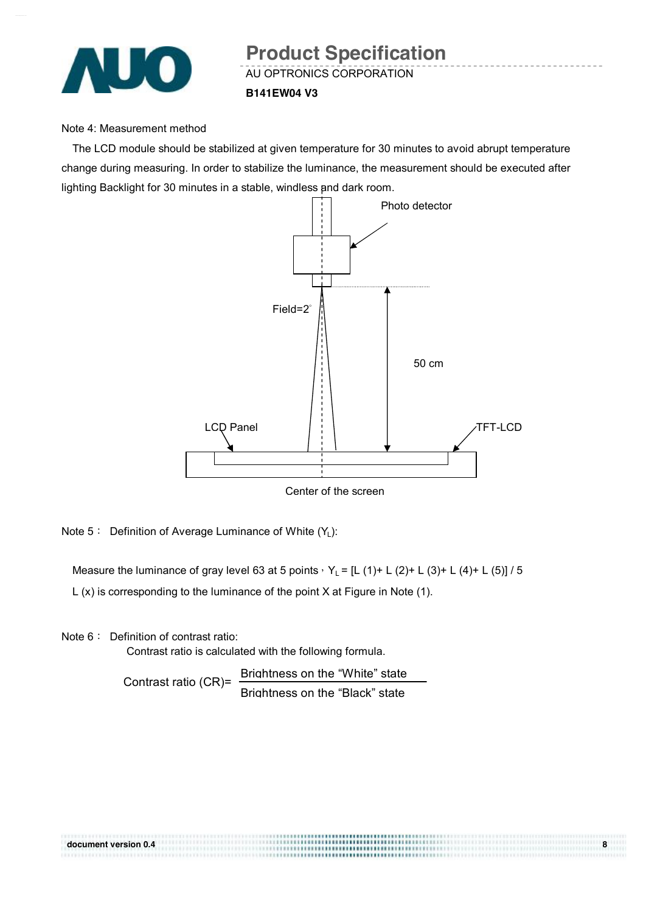

#### Note 4: Measurement method

The LCD module should be stabilized at given temperature for 30 minutes to avoid abrupt temperature change during measuring. In order to stabilize the luminance, the measurement should be executed after lighting Backlight for 30 minutes in a stable, windless and dark room.



Note 5: Definition of Average Luminance of White (Y<sub>L</sub>):

Measure the luminance of gray level 63 at 5 points,  $Y_L = [L (1) + L (2) + L (3) + L (4) + L (5)] / 5$ 

L (x) is corresponding to the luminance of the point X at Figure in Note (1).

Note 6: Definition of contrast ratio:

Contrast ratio is calculated with the following formula.

Contrast ratio (CR)= Brightness on the "White" state Brightness on the "Black" state

|                      | <b></b>                              |   |
|----------------------|--------------------------------------|---|
| document version 0.4 | ,,,,,,,,,,,,,,,,,,,,,,,,,,,,,,,,,,,, | 8 |
|                      | ,,,,,,,,,,,,,,,,,,,,,,,,,,,,,,,,,,,  |   |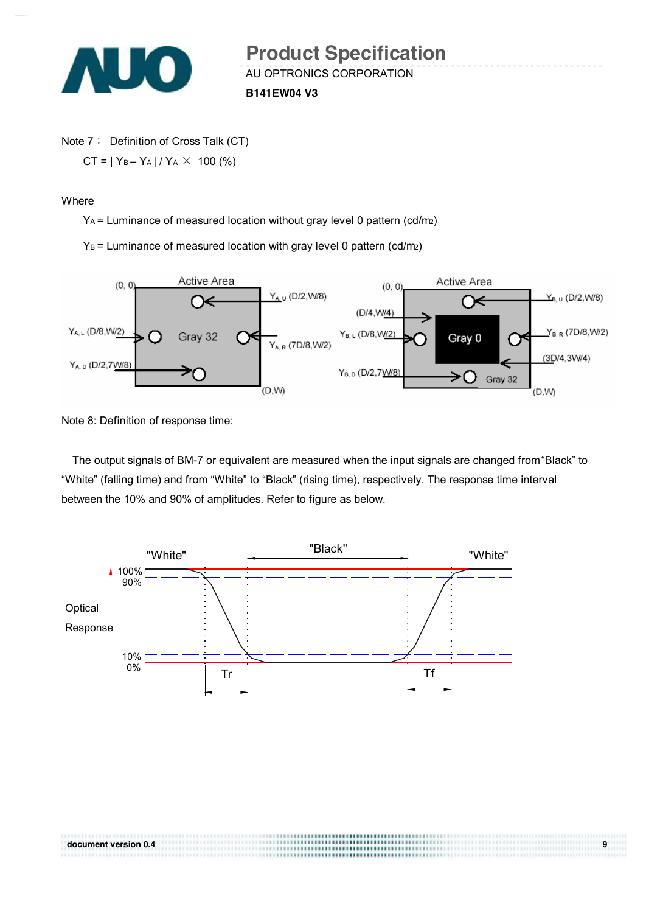

Note 7: Definition of Cross Talk (CT)  $CT = |Y_B - Y_A| / Y_A \times 100$  (%)

**Where** 

YA = Luminance of measured location without gray level 0 pattern (cd/m2)

 $Y_B$  = Luminance of measured location with gray level 0 pattern (cd/m2)



Note 8: Definition of response time:

The output signals of BM-7 or equivalent are measured when the input signals are changed from "Black" to "White" (falling time) and from "White" to "Black" (rising time), respectively. The response time interval between the 10% and 90% of amplitudes. Refer to figure as below.

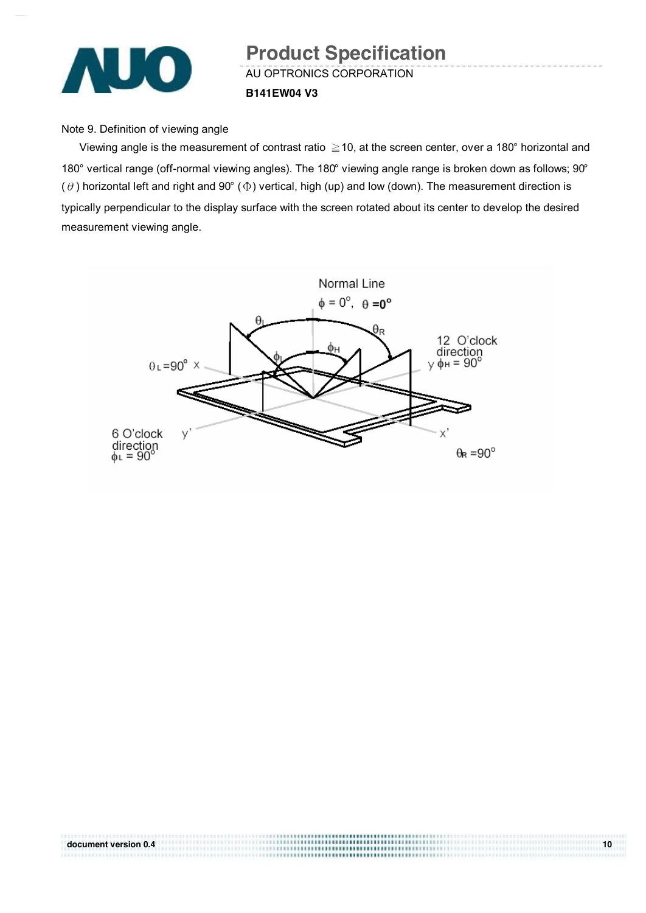

#### Note 9. Definition of viewing angle

Viewing angle is the measurement of contrast ratio ≧10, at the screen center, over a 180° horizontal and 180° vertical range (off-normal viewing angles). The 180° viewing angle range is broken down as follows; 90° ( $\theta$ ) horizontal left and right and 90° ( $\Phi$ ) vertical, high (up) and low (down). The measurement direction is typically perpendicular to the display surface with the screen rotated about its center to develop the desired measurement viewing angle.



| document version 0.4 | 10 |
|----------------------|----|
|                      |    |
|                      |    |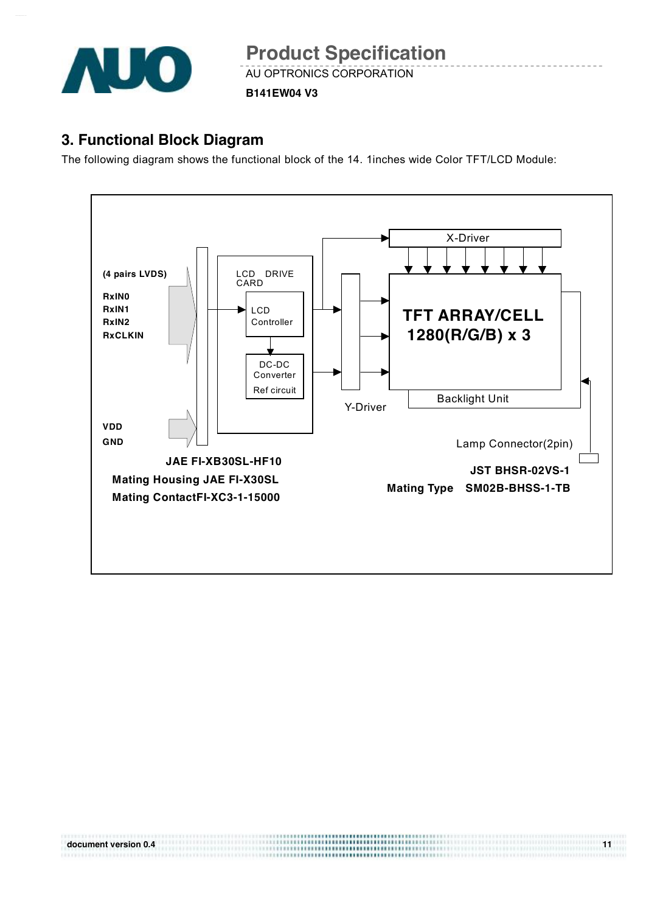

AU OPTRONICS CORPORATION **Product Specification** 

**B141EW04 V3**

### **3. Functional Block Diagram**

The following diagram shows the functional block of the 14. 1inches wide Color TFT/LCD Module:

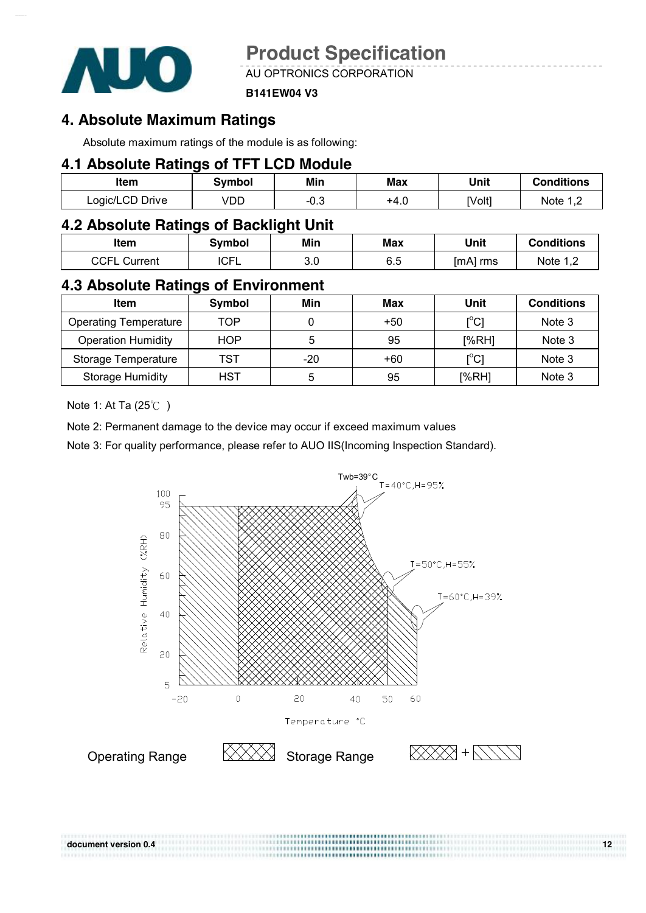

AU OPTRONICS CORPORATION

#### **B141EW04 V3**

### **4. Absolute Maximum Ratings**

Absolute maximum ratings of the module is as following:

#### **4.1 Absolute Ratings of TFT LCD Module**

| Item            | Svmbol | Min    | Max  | Unit   | <b>Conditions</b> |
|-----------------|--------|--------|------|--------|-------------------|
| Logic/LCD Drive | VDD    | $-0.5$ | +4.u | [Volt] | Note 1 C          |

### **4.2 Absolute Ratings of Backlight Unit**

| ltem            | Symbol            | Min | Max              | Unit     | <b>Conditions</b>        |
|-----------------|-------------------|-----|------------------|----------|--------------------------|
| CCFL<br>Current | <b>CEI</b><br>U⊏∟ | 3.0 | ຂະ<br>n n<br>∪.∪ | [mA] rms | Note 1<br>$\blacksquare$ |

#### **4.3 Absolute Ratings of Environment**

| <b>Item</b>                  | Symbol     | Min | Max | Unit                                    | <b>Conditions</b> |
|------------------------------|------------|-----|-----|-----------------------------------------|-------------------|
| <b>Operating Temperature</b> | TOP        |     | +50 | $\mathsf{I}^\circ\mathsf{C} \mathsf{I}$ | Note 3            |
| <b>Operation Humidity</b>    | <b>HOP</b> | 5   | 95  | [%RH]                                   | Note 3            |
| Storage Temperature          | TST        | -20 | +60 | $\mathop{\rm l}{\rm c}{\rm l}$          | Note 3            |
| <b>Storage Humidity</b>      | HST        | 5   | 95  | [%RH]                                   | Note 3            |

Note 1: At Ta (25℃ )

Note 2: Permanent damage to the device may occur if exceed maximum values

Note 3: For quality performance, please refer to AUO IIS(Incoming Inspection Standard).



**document version 0.4** 12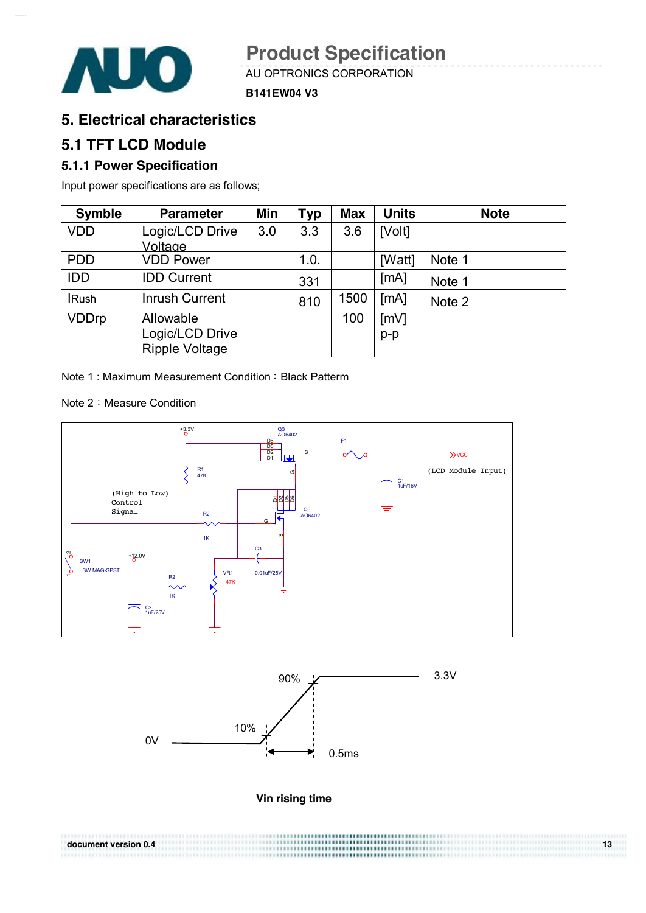

AU OPTRONICS CORPORATION **Product Specification** 

**B141EW04 V3**

### **5. Electrical characteristics**

### **5.1 TFT LCD Module**

#### **5.1.1 Power Specification**

Input power specifications are as follows;

| <b>Symble</b> | <b>Parameter</b>      | Min | Typ  | <b>Max</b> | <b>Units</b> | <b>Note</b> |
|---------------|-----------------------|-----|------|------------|--------------|-------------|
| <b>VDD</b>    | Logic/LCD Drive       | 3.0 | 3.3  | 3.6        | [Volt]       |             |
|               | Voltage               |     |      |            |              |             |
| <b>PDD</b>    | <b>VDD Power</b>      |     | 1.0. |            | [Watt]       | Note 1      |
| <b>IDD</b>    | <b>IDD Current</b>    |     | 331  |            | [MA]         | Note 1      |
| <b>IRush</b>  | <b>Inrush Current</b> |     | 810  | 1500       | [MA]         | Note 2      |
| <b>VDDrp</b>  | Allowable             |     |      | 100        | [mV]         |             |
|               | Logic/LCD Drive       |     |      |            | $p-p$        |             |
|               | <b>Ripple Voltage</b> |     |      |            |              |             |

Note 1: Maximum Measurement Condition: Black Patterm

Note 2: Measure Condition





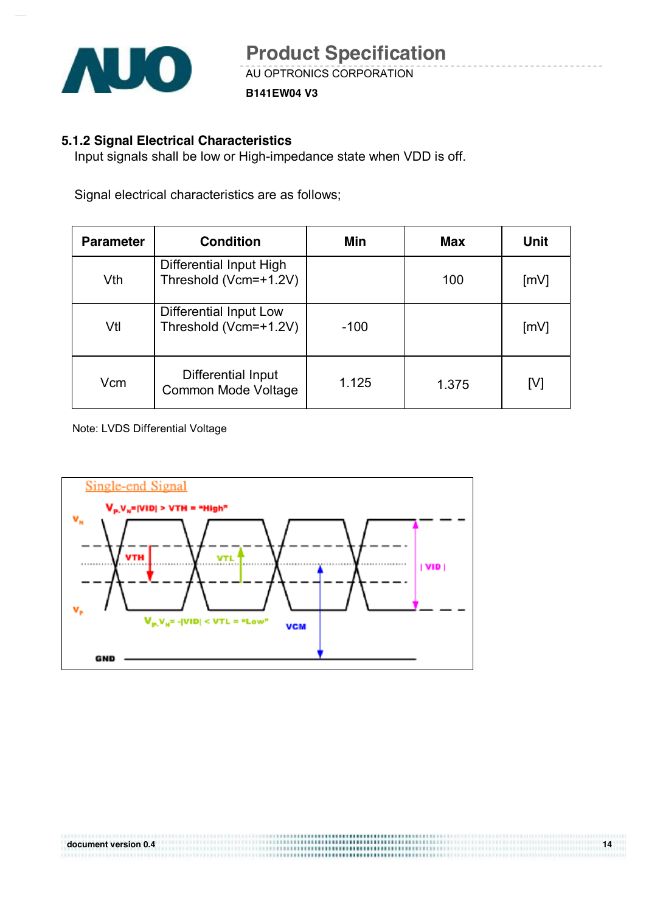

**B141EW04 V3**

#### **5.1.2 Signal Electrical Characteristics**

Input signals shall be low or High-impedance state when VDD is off.

Signal electrical characteristics are as follows;

| <b>Parameter</b> | <b>Condition</b>                                 | Min    | Max   | Unit |
|------------------|--------------------------------------------------|--------|-------|------|
| Vth              | Differential Input High<br>Threshold (Vcm=+1.2V) |        | 100   | [mV] |
| Vtl              | Differential Input Low<br>Threshold (Vcm=+1.2V)  | $-100$ |       | [mV] |
| Vcm              | Differential Input<br><b>Common Mode Voltage</b> | 1.125  | 1.375 | [V]  |

Note: LVDS Differential Voltage

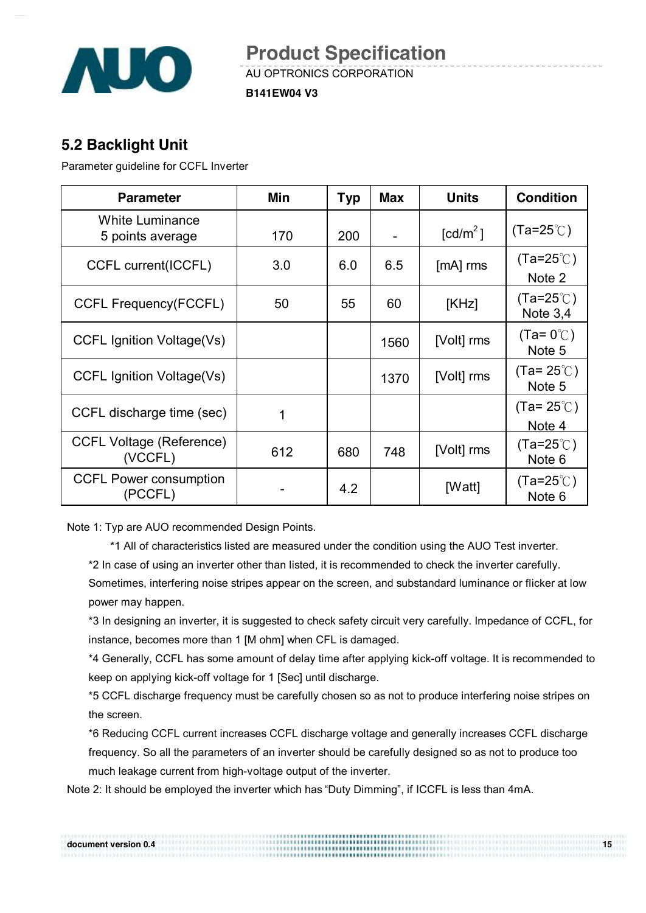

AU OPTRONICS CORPORATION **Product Specification** 

**B141EW04 V3**

### **5.2 Backlight Unit**

Parameter guideline for CCFL Inverter

| <b>Parameter</b>                           | Min | <b>Typ</b> | <b>Max</b> | <b>Units</b>           | <b>Condition</b>                         |
|--------------------------------------------|-----|------------|------------|------------------------|------------------------------------------|
| <b>White Luminance</b><br>5 points average | 170 | 200        |            | $\lceil cd/m^2 \rceil$ | $(Ta=25^{\circ}$ C)                      |
| CCFL current(ICCFL)                        | 3.0 | 6.0        | 6.5        | $[mA]$ rms             | (Ta=25 $\degree$ C)<br>Note 2            |
| <b>CCFL Frequency(FCCFL)</b>               | 50  | 55         | 60         | [KHz]                  | $(Ta=25^{\circ}$ C)<br>Note $3,4$        |
| <b>CCFL Ignition Voltage(Vs)</b>           |     |            | 1560       | [Volt] rms             | $(Ta=0^{\circ}\text{C})$<br>Note 5       |
| CCFL Ignition Voltage(Vs)                  |     |            | 1370       | [Volt] rms             | $(Ta=25^{\circ}$ C)<br>Note 5            |
| CCFL discharge time (sec)                  | 1   |            |            |                        | $(Ta=25^{\circ}C)$<br>Note 4             |
| <b>CCFL Voltage (Reference)</b><br>(VCCFL) | 612 | 680        | 748        | [Volt] rms             | (Ta=25 $\degree$ C)<br>Note <sub>6</sub> |
| <b>CCFL Power consumption</b><br>(PCCFL)   |     | 4.2        |            | [Watt]                 | (Ta=25℃)<br>Note <sub>6</sub>            |

Note 1: Typ are AUO recommended Design Points.

\*1 All of characteristics listed are measured under the condition using the AUO Test inverter.

\*2 In case of using an inverter other than listed, it is recommended to check the inverter carefully.

Sometimes, interfering noise stripes appear on the screen, and substandard luminance or flicker at low power may happen.

\*3 In designing an inverter, it is suggested to check safety circuit very carefully. Impedance of CCFL, for instance, becomes more than 1 [M ohm] when CFL is damaged.

\*4 Generally, CCFL has some amount of delay time after applying kick-off voltage. It is recommended to keep on applying kick-off voltage for 1 [Sec] until discharge.

\*5 CCFL discharge frequency must be carefully chosen so as not to produce interfering noise stripes on the screen.

\*6 Reducing CCFL current increases CCFL discharge voltage and generally increases CCFL discharge frequency. So all the parameters of an inverter should be carefully designed so as not to produce too much leakage current from high-voltage output of the inverter.

Note 2: It should be employed the inverter which has "Duty Dimming", if ICCFL is less than 4mA.

| document version 0.4 | ********************************* | כ ו |
|----------------------|-----------------------------------|-----|
|                      | <b></b>                           |     |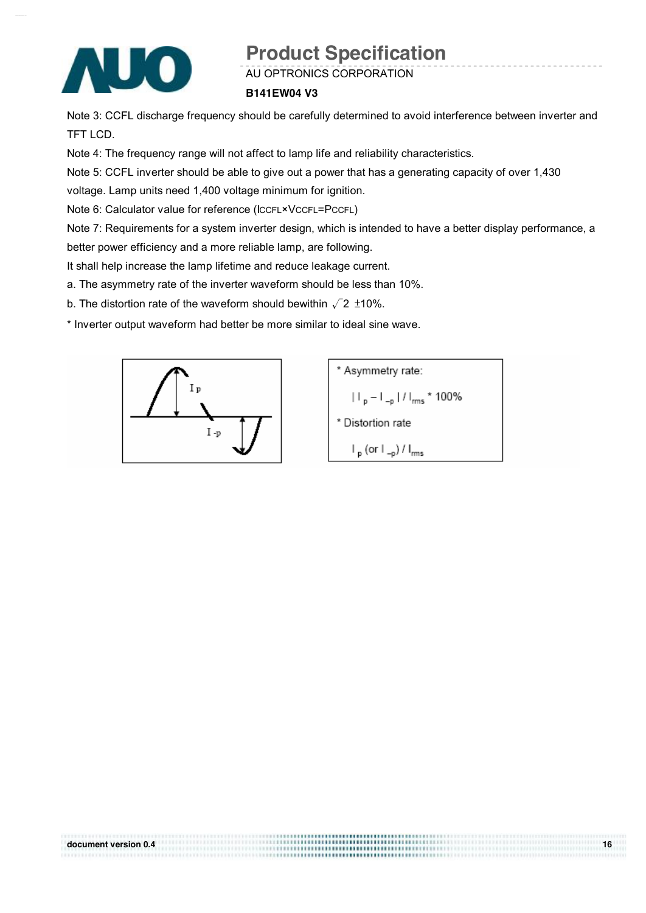

AU OPTRONICS CORPORATION

#### **B141EW04 V3**

Note 3: CCFL discharge frequency should be carefully determined to avoid interference between inverter and TFT LCD.

Note 4: The frequency range will not affect to lamp life and reliability characteristics.

Note 5: CCFL inverter should be able to give out a power that has a generating capacity of over 1,430

voltage. Lamp units need 1,400 voltage minimum for ignition.

Note 6: Calculator value for reference (ICCFL×VCCFL=PCCFL)

Note 7: Requirements for a system inverter design, which is intended to have a better display performance, a better power efficiency and a more reliable lamp, are following.

It shall help increase the lamp lifetime and reduce leakage current.

a. The asymmetry rate of the inverter waveform should be less than 10%.

b. The distortion rate of the waveform should bewithin  $\sqrt{2}$  ±10%.

\* Inverter output waveform had better be more similar to ideal sine wave.



\n- \* Asymmetry rate:
\n- $$
|I_p - I_{-p}| / I_{rms} \cdot 100\%
$$
\n- \* Distortion rate
\n- $I_p$  (or  $I_{-p}$ ) /  $I_{rms}$
\n

| document version 0.4 | 16 |
|----------------------|----|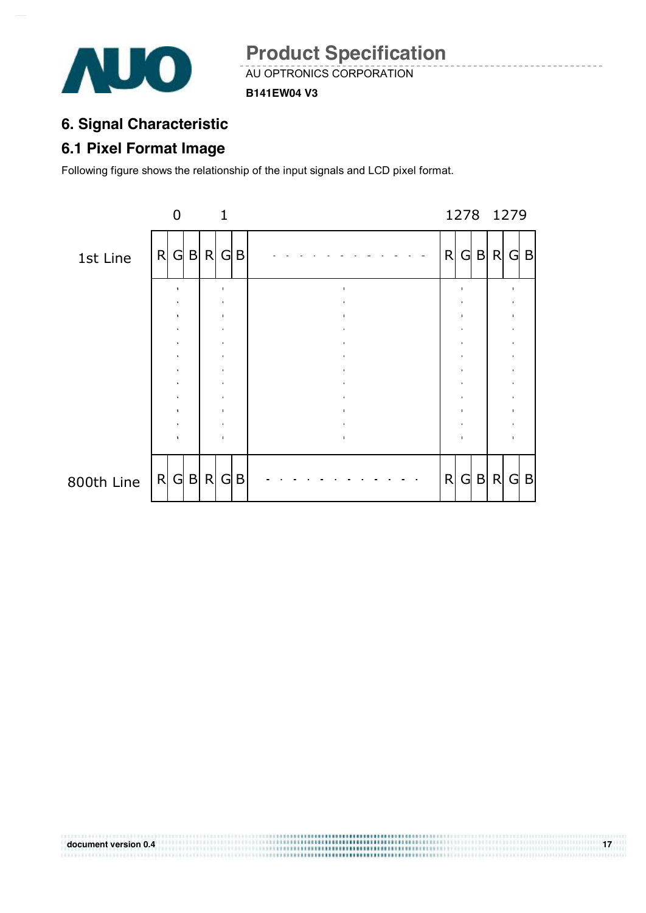

AU OPTRONICS CORPORATION **Product Specification** 

**B141EW04 V3**

## **6. Signal Characteristic**

## **6.1 Pixel Format Image**

Following figure shows the relationship of the input signals and LCD pixel format.

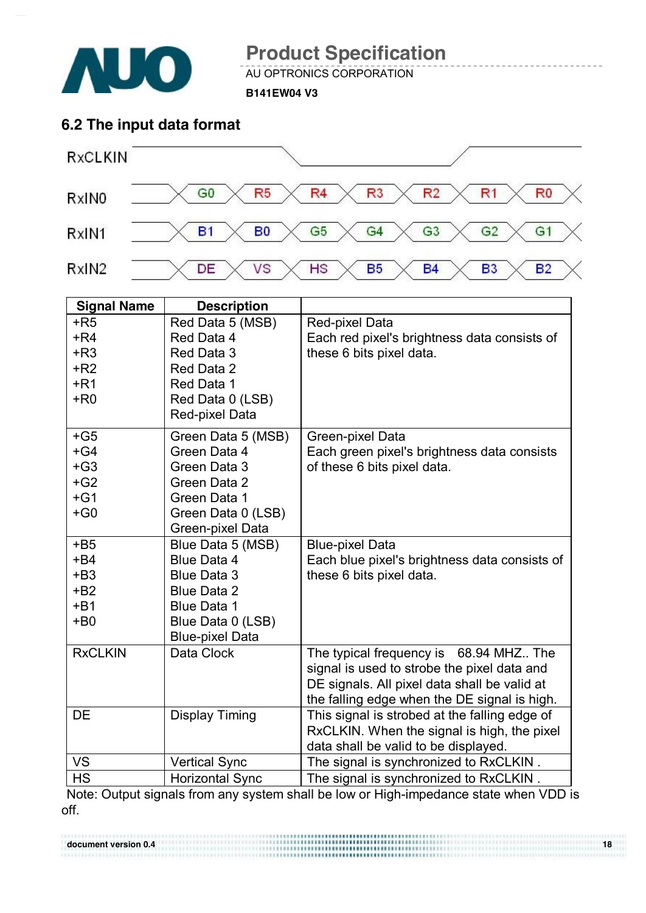

AU OPTRONICS CORPORATION

**B141EW04 V3**

### **6.2 The input data format**



| <b>Signal Name</b> | <b>Description</b>     |                                               |
|--------------------|------------------------|-----------------------------------------------|
| $+R5$              | Red Data 5 (MSB)       | Red-pixel Data                                |
| $+R4$              | Red Data 4             | Each red pixel's brightness data consists of  |
| $+R3$              | Red Data 3             | these 6 bits pixel data.                      |
| $+R2$              | Red Data 2             |                                               |
| $+R1$              | Red Data 1             |                                               |
| $+R0$              | Red Data 0 (LSB)       |                                               |
|                    | Red-pixel Data         |                                               |
| $+G5$              | Green Data 5 (MSB)     | Green-pixel Data                              |
| $+G4$              | Green Data 4           | Each green pixel's brightness data consists   |
| $+G3$              | Green Data 3           | of these 6 bits pixel data.                   |
| $+G2$              | Green Data 2           |                                               |
| $+G1$              | Green Data 1           |                                               |
| $+G0$              | Green Data 0 (LSB)     |                                               |
|                    | Green-pixel Data       |                                               |
| $+B5$              | Blue Data 5 (MSB)      | <b>Blue-pixel Data</b>                        |
| $+B4$              | Blue Data 4            | Each blue pixel's brightness data consists of |
| $+B3$              | <b>Blue Data 3</b>     | these 6 bits pixel data.                      |
| $+B2$              | <b>Blue Data 2</b>     |                                               |
| $+B1$              | <b>Blue Data 1</b>     |                                               |
| $+B0$              | Blue Data 0 (LSB)      |                                               |
|                    | <b>Blue-pixel Data</b> |                                               |
| <b>RxCLKIN</b>     | Data Clock             | The typical frequency is 68.94 MHZ The        |
|                    |                        | signal is used to strobe the pixel data and   |
|                    |                        | DE signals. All pixel data shall be valid at  |
|                    |                        | the falling edge when the DE signal is high.  |
| <b>DE</b>          | <b>Display Timing</b>  | This signal is strobed at the falling edge of |
|                    |                        | RxCLKIN. When the signal is high, the pixel   |
|                    |                        | data shall be valid to be displayed.          |
| <b>VS</b>          | <b>Vertical Sync</b>   | The signal is synchronized to RxCLKIN.        |
| <b>HS</b>          | <b>Horizontal Sync</b> | The signal is synchronized to RxCLKIN.        |

Note: Output signals from any system shall be low or High-impedance state when VDD is off.

**document version 0.4 18 18**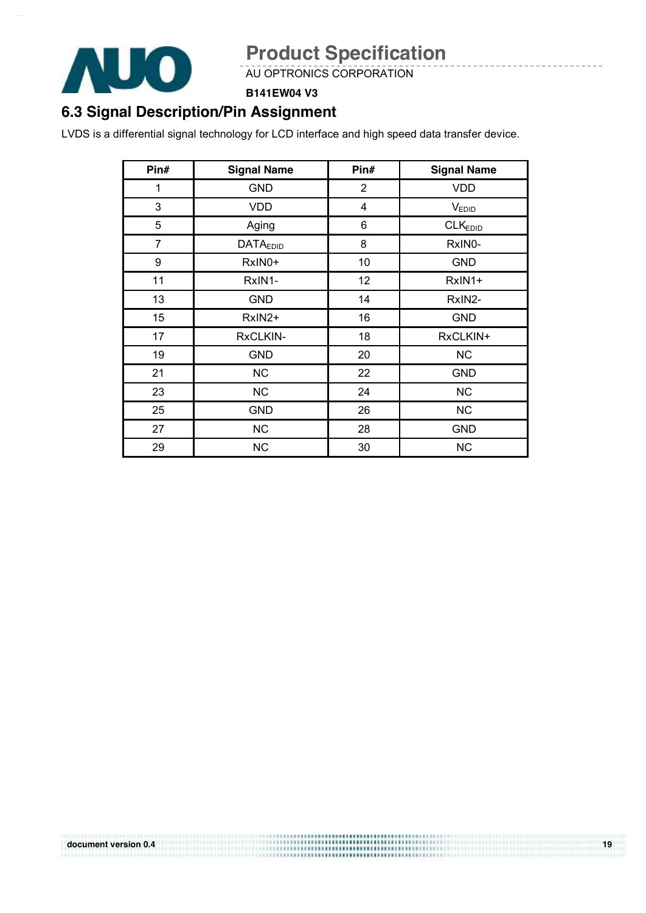

AU OPTRONICS CORPORATION

#### **B141EW04 V3**

## **6.3 Signal Description/Pin Assignment**

LVDS is a differential signal technology for LCD interface and high speed data transfer device.

| Pin#           | <b>Signal Name</b> | Pin#           | <b>Signal Name</b>  |
|----------------|--------------------|----------------|---------------------|
| 1              | <b>GND</b>         | $\overline{2}$ | <b>VDD</b>          |
| 3              | <b>VDD</b>         | 4              | $V_{EDID}$          |
| 5              | Aging              | 6              | CLK <sub>EDID</sub> |
| $\overline{7}$ | <b>DATAEDID</b>    | 8              | RxIN0-              |
| 9              | RxIN0+             | 10             | <b>GND</b>          |
| 11             | RxIN1-             | 12             | RxIN1+              |
| 13             | <b>GND</b>         | 14             | RxIN2-              |
| 15             | RxIN2+             | 16             | <b>GND</b>          |
| 17             | RxCLKIN-           | 18             | RxCLKIN+            |
| 19             | <b>GND</b>         | 20             | <b>NC</b>           |
| 21             | <b>NC</b>          | 22             | <b>GND</b>          |
| 23             | <b>NC</b>          | 24             | <b>NC</b>           |
| 25             | <b>GND</b>         | 26             | <b>NC</b>           |
| 27             | <b>NC</b>          | 28             | <b>GND</b>          |
| 29             | <b>NC</b>          | 30             | <b>NC</b>           |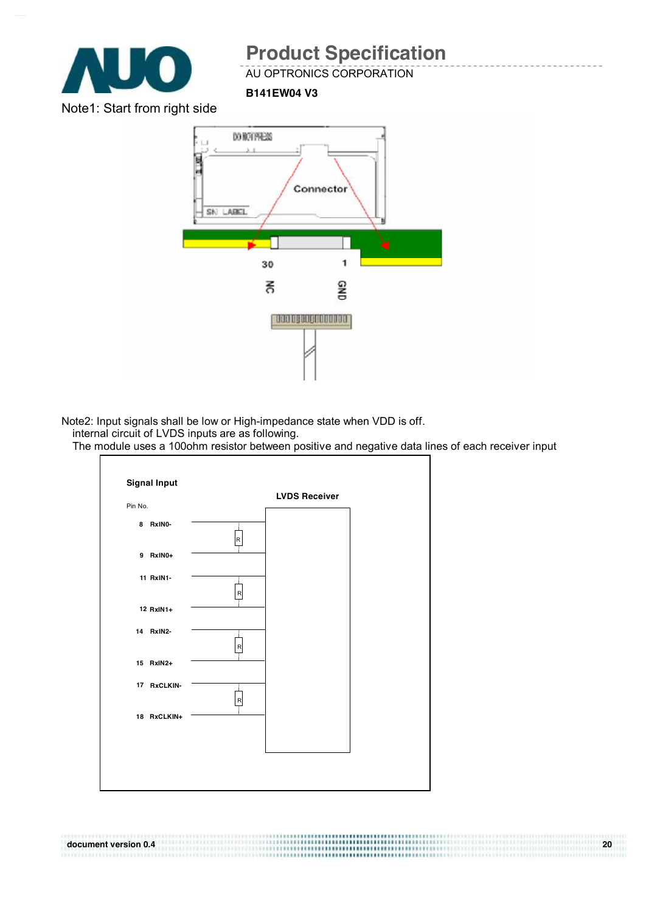

AU OPTRONICS CORPORATION

**B141EW04 V3**

Note1: Start from right side



Note2: Input signals shall be low or High-impedance state when VDD is off.

internal circuit of LVDS inputs are as following.

The module uses a 100ohm resistor between positive and negative data lines of each receiver input

**document version 0.4 20** 

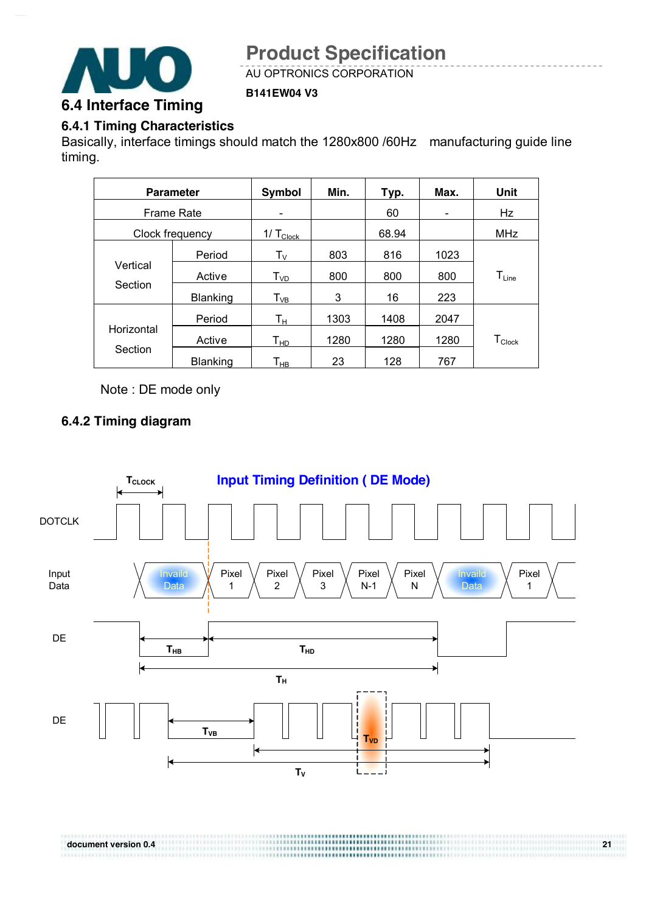

AU OPTRONICS CORPORATION

#### **B141EW04 V3**

### **6.4.1 Timing Characteristics**

Basically, interface timings should match the 1280x800 /60Hz manufacturing guide line timing.

| <b>Parameter</b>  |                 | Symbol                     | Min. | Typ.  | Max.                     | <b>Unit</b>      |
|-------------------|-----------------|----------------------------|------|-------|--------------------------|------------------|
| <b>Frame Rate</b> |                 |                            |      | 60    | $\overline{\phantom{0}}$ | Hz               |
|                   | Clock frequency | 1/ $T_{\text{Clock}}$      |      | 68.94 |                          | <b>MHz</b>       |
|                   | Period          | $T_{V}$                    | 803  | 816   | 1023                     |                  |
| Vertical          | Active          | $T_{VD}$                   | 800  | 800   | 800                      | $T_{Line}$       |
| Section           | Blanking        | $T_{VB}$                   | 3    | 16    | 223                      |                  |
|                   | Period          | Tн                         | 1303 | 1408  | 2047                     |                  |
| Horizontal        | Active          | $\mathsf{T}_{\mathsf{HD}}$ | 1280 | 1280  | 1280                     | $T_{\sf{Clock}}$ |
| Section           | Blanking        | $\mathsf{T}_\mathsf{HB}$   | 23   | 128   | 767                      |                  |

Note : DE mode only

#### **6.4.2 Timing diagram**

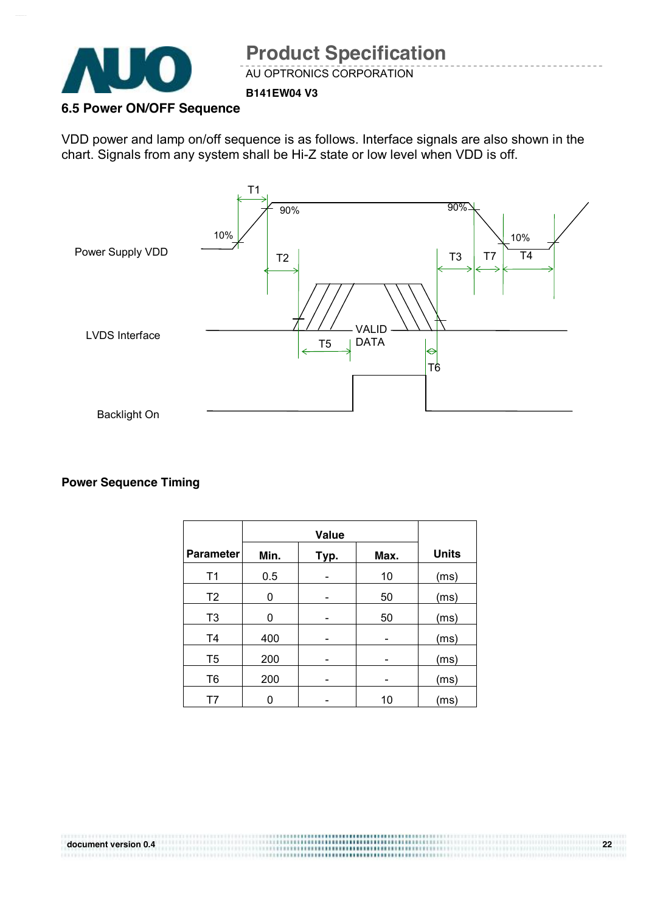

AU OPTRONICS CORPORATION

#### **B141EW04 V3**

#### **6.5 Power ON/OFF Sequence**

VDD power and lamp on/off sequence is as follows. Interface signals are also shown in the chart. Signals from any system shall be Hi-Z state or low level when VDD is off.



#### **Power Sequence Timing**

| <b>Parameter</b> | Min. | <b>Units</b> |      |
|------------------|------|--------------|------|
| T <sub>1</sub>   | 0.5  | 10           | (ms) |
| T <sub>2</sub>   | 0    | 50           | (ms) |
| T <sub>3</sub>   | 0    | 50           | (ms) |
| T <sub>4</sub>   | 400  |              | (ms) |
| T <sub>5</sub>   | 200  |              | (ms) |
| T <sub>6</sub>   | 200  |              | (ms) |
| T7               | Ω    | 10           | (ms) |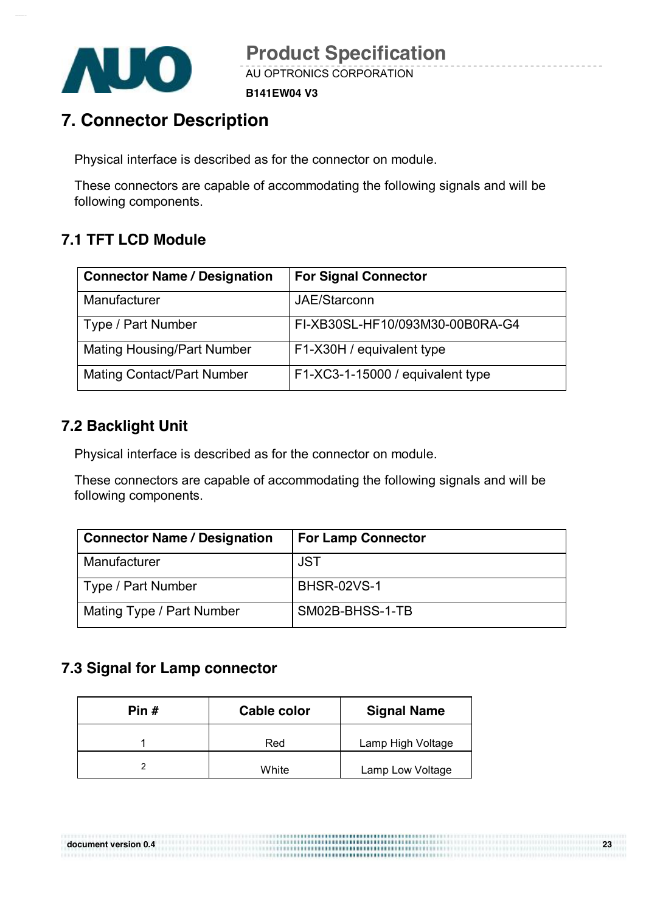

**B141EW04 V3**

## **7. Connector Description**

Physical interface is described as for the connector on module.

These connectors are capable of accommodating the following signals and will be following components.

## **7.1 TFT LCD Module**

| <b>Connector Name / Designation</b> | <b>For Signal Connector</b>      |
|-------------------------------------|----------------------------------|
| Manufacturer                        | JAE/Starconn                     |
| Type / Part Number                  | FI-XB30SL-HF10/093M30-00B0RA-G4  |
| <b>Mating Housing/Part Number</b>   | F1-X30H / equivalent type        |
| <b>Mating Contact/Part Number</b>   | F1-XC3-1-15000 / equivalent type |

### **7.2 Backlight Unit**

Physical interface is described as for the connector on module.

These connectors are capable of accommodating the following signals and will be following components.

| <b>Connector Name / Designation</b> | <b>For Lamp Connector</b> |
|-------------------------------------|---------------------------|
| Manufacturer                        | <b>JST</b>                |
| Type / Part Number                  | <b>BHSR-02VS-1</b>        |
| Mating Type / Part Number           | SM02B-BHSS-1-TB           |

**document version 0.4 23** 

### **7.3 Signal for Lamp connector**

| Pin # | Cable color | <b>Signal Name</b> |  |  |
|-------|-------------|--------------------|--|--|
|       | Red         | Lamp High Voltage  |  |  |
|       | White       | Lamp Low Voltage   |  |  |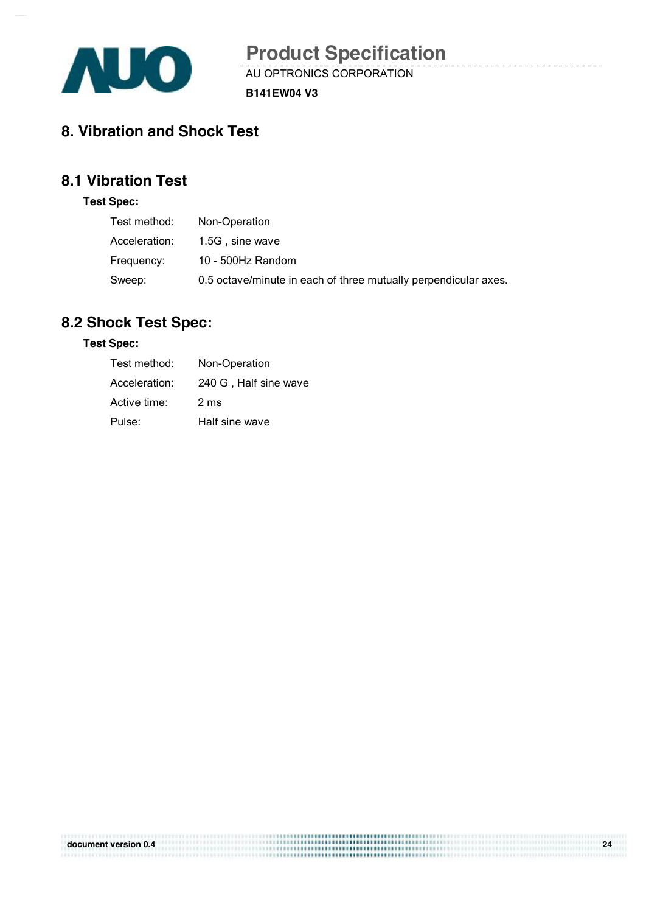

AU OPTRONICS CORPORATION **Product Specification** 

**B141EW04 V3**

## **8. Vibration and Shock Test**

## **8.1 Vibration Test**

#### **Test Spec:**

| Test method:  | Non-Operation                                                   |
|---------------|-----------------------------------------------------------------|
| Acceleration: | 1.5G, sine wave                                                 |
| Frequency:    | 10 - 500Hz Random                                               |
| Sweep:        | 0.5 octave/minute in each of three mutually perpendicular axes. |

### **8.2 Shock Test Spec:**

#### **Test Spec:**

| Test method:  | Non-Operation         |
|---------------|-----------------------|
| Acceleration: | 240 G, Half sine wave |
| Active time:  | $2 \text{ ms}$        |
| Pulse:        | Half sine wave        |

| document version 0.4 | ,,,,,,,,,,,,,,,,,,,,,,,,,,,,,,,,,, | 24 |
|----------------------|------------------------------------|----|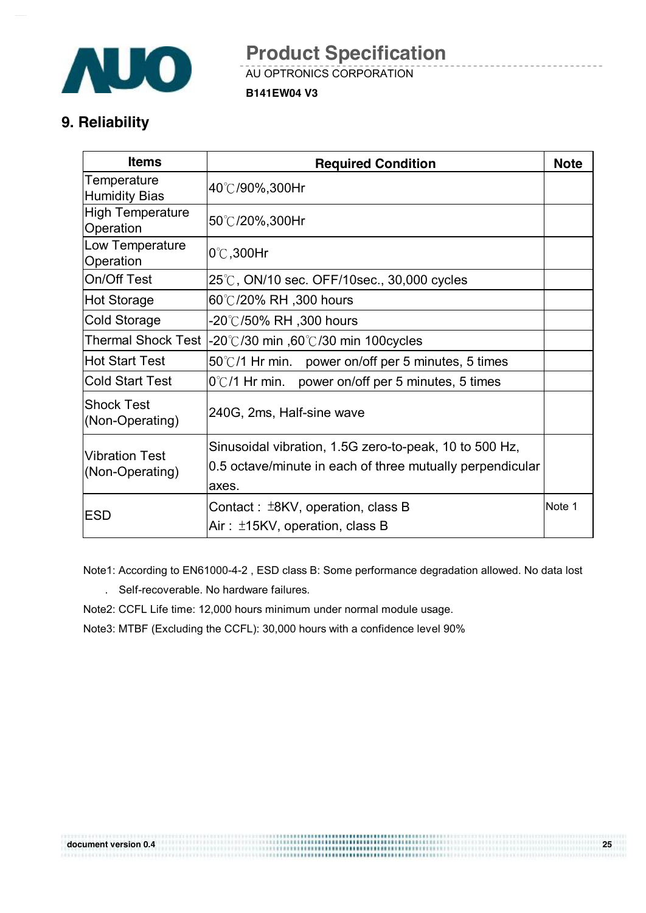

AU OPTRONICS CORPORATION **Product Specification** 

**B141EW04 V3**

### **9. Reliability**

| <b>Items</b>                                                                           | <b>Required Condition</b>                                          | <b>Note</b> |
|----------------------------------------------------------------------------------------|--------------------------------------------------------------------|-------------|
| Temperature<br><b>Humidity Bias</b>                                                    | 40℃/90%,300Hr                                                      |             |
| <b>High Temperature</b><br>Operation                                                   | 50℃/20%,300Hr                                                      |             |
| Low Temperature<br>Operation                                                           | $0^\circ$ C,300Hr                                                  |             |
| On/Off Test                                                                            | $25^{\circ}$ C, ON/10 sec. OFF/10sec., 30,000 cycles               |             |
| <b>Hot Storage</b>                                                                     | 60℃/20% RH,300 hours                                               |             |
| <b>Cold Storage</b>                                                                    | -20℃/50% RH ,300 hours                                             |             |
| <b>Thermal Shock Test</b><br>-20°C/30 min ,60°C/30 min 100cycles                       |                                                                    |             |
| <b>Hot Start Test</b>                                                                  | 50°C/1 Hr min. power on/off per 5 minutes, 5 times                 |             |
| <b>Cold Start Test</b>                                                                 | $0^{\circ}$ C/1 Hr min. power on/off per 5 minutes, 5 times        |             |
| <b>Shock Test</b><br>(Non-Operating)                                                   | 240G, 2ms, Half-sine wave                                          |             |
|                                                                                        | Sinusoidal vibration, 1.5G zero-to-peak, 10 to 500 Hz,             |             |
| <b>Vibration Test</b><br>(Non-Operating)                                               | 0.5 octave/minute in each of three mutually perpendicular<br>axes. |             |
| Contact: $\pm$ 8KV, operation, class B<br><b>ESD</b><br>Air: ±15KV, operation, class B |                                                                    | Note 1      |

Note1: According to EN61000-4-2 , ESD class B: Some performance degradation allowed. No data lost

- . Self-recoverable. No hardware failures.
- Note2: CCFL Life time: 12,000 hours minimum under normal module usage.
- Note3: MTBF (Excluding the CCFL): 30,000 hours with a confidence level 90%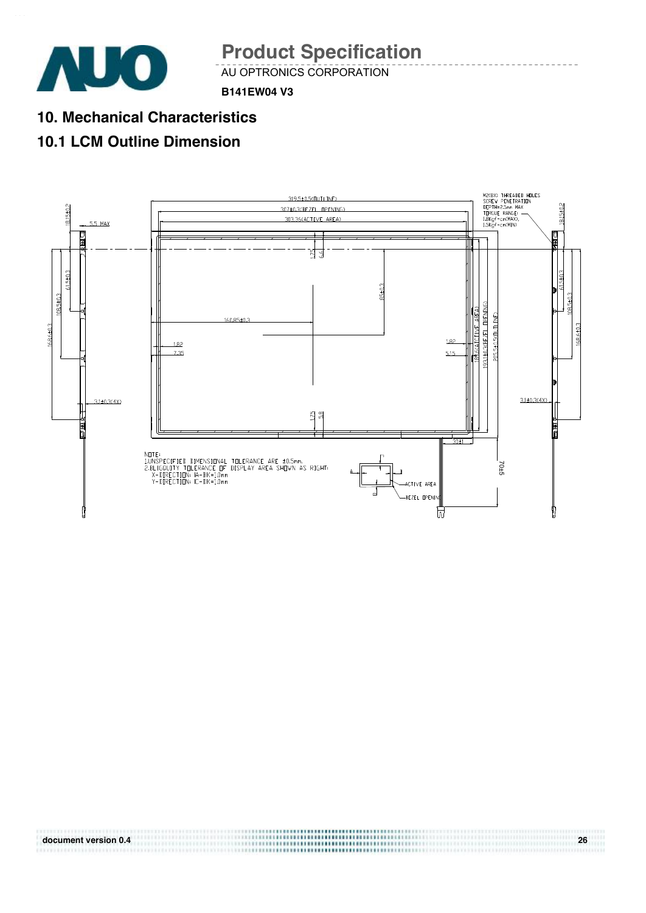

011011111

**Product Specification** 

AU OPTRONICS CORPORATION

**B141EW04 V3**

**10. Mechanical Characteristics** 

## **10.1 LCM Outline Dimension**



**document version 0.4 26**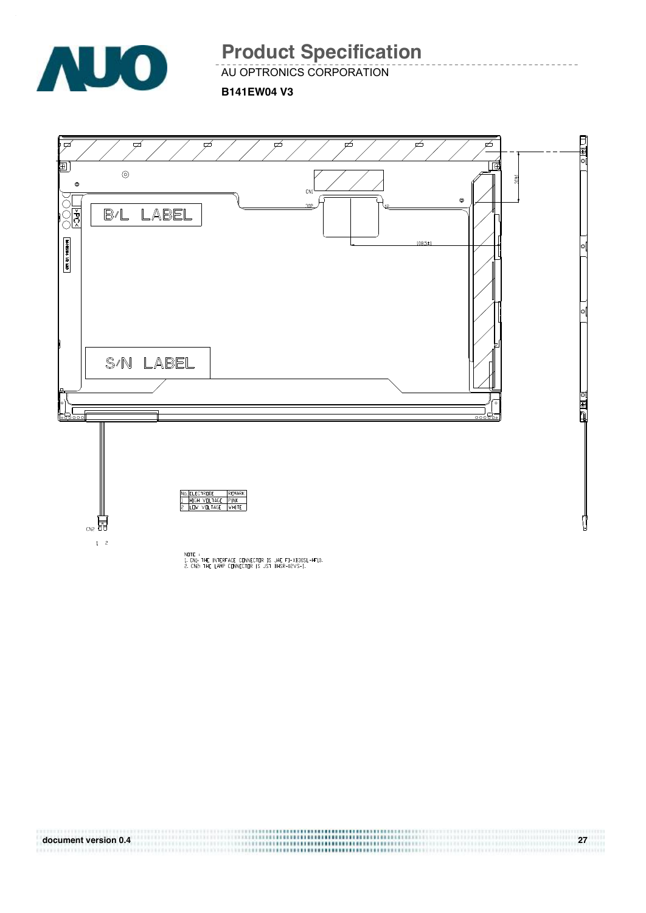![](_page_26_Picture_0.jpeg)

AU OPTRONICS CORPORATION

**B141EW04 V3**

![](_page_26_Figure_4.jpeg)

**document version 0.4 27 FELLIPSIA**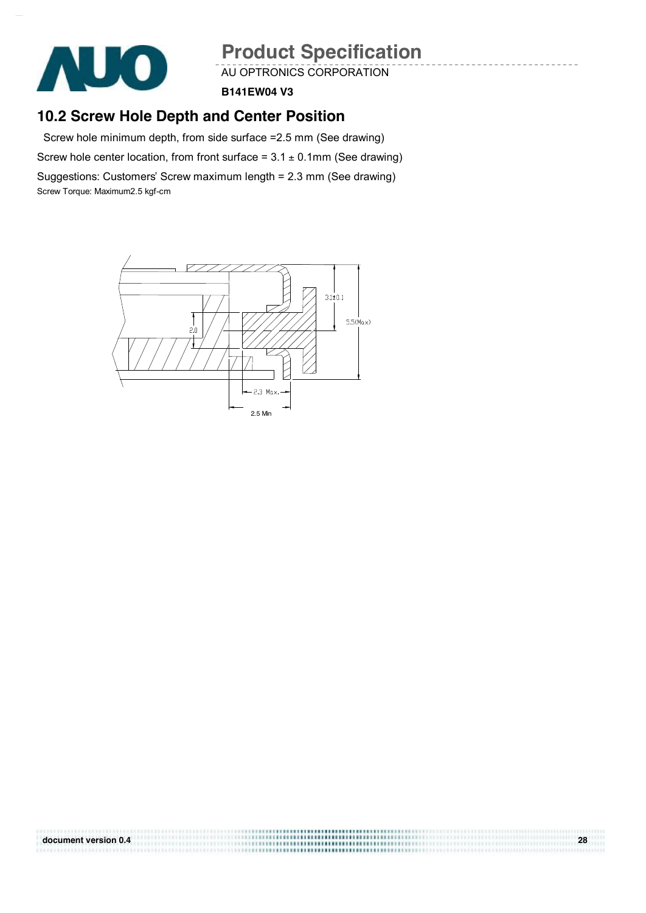![](_page_27_Picture_0.jpeg)

AU OPTRONICS CORPORATION

**B141EW04 V3**

### **10.2 Screw Hole Depth and Center Position**

Screw hole minimum depth, from side surface =2.5 mm (See drawing)

Screw hole center location, from front surface =  $3.1 \pm 0.1$ mm (See drawing)

Suggestions: Customers' Screw maximum length = 2.3 mm (See drawing) Screw Torque: Maximum2.5 kgf-cm

![](_page_27_Figure_8.jpeg)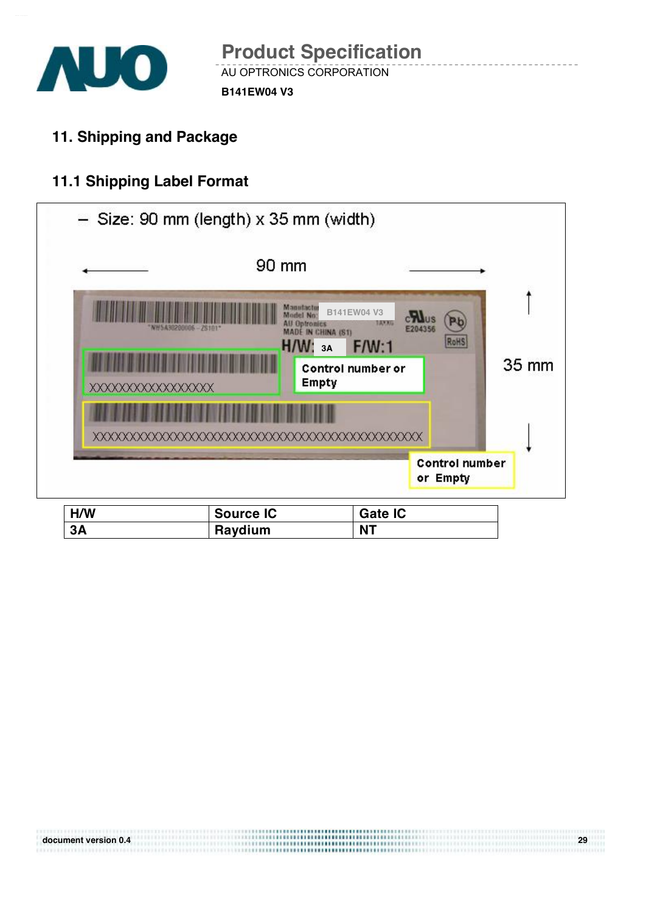![](_page_28_Picture_0.jpeg)

0000000000

**11. Shipping and Package** 

## **11.1 Shipping Label Format**

|                          | $-$ Size: 90 mm (length) x 35 mm (width)                                                      |                                                                             |                                   |       |
|--------------------------|-----------------------------------------------------------------------------------------------|-----------------------------------------------------------------------------|-----------------------------------|-------|
|                          | 90 mm                                                                                         |                                                                             |                                   |       |
| <b>XXXXXXXXXXXXXXXXX</b> | Manutactur<br>Model No:<br><b>All Optronics</b><br>MADE IN CHINA (S1)<br>H/W:<br><b>Empty</b> | B141EW04 V3<br><b>LEXICE</b><br>E204356<br>F/W:1<br>3A<br>Control number or | Р¥<br>RoHS                        | 35 mm |
|                          |                                                                                               |                                                                             |                                   |       |
|                          |                                                                                               |                                                                             | <b>Control number</b><br>or Empty |       |
| H/W<br>3A                | <b>Source IC</b><br>Raydium                                                                   | <b>Gate IC</b><br><b>NT</b>                                                 |                                   |       |

**document version 0.4** *cm . 29 <b>a cm . 29 a <i>cm . 29 <b>a cm . 29 <b>a <i>cm . 29 <b>a cm . 29 <b>a <i>cm . 29 <b>a cm . 29 <b>a cm . 29 <b>a <i>cm . 29 <b>a cm . 29 <b>a <i>cm . 29 <b>a cm . 20 <b>a*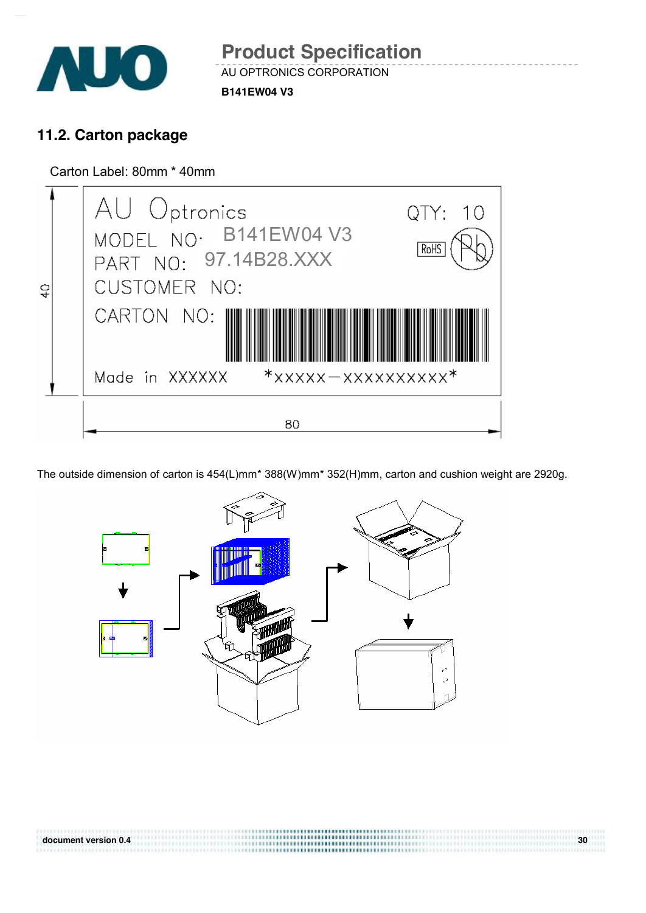![](_page_29_Picture_0.jpeg)

## **11.2. Carton package**

Carton Label: 80mm \* 40mm

![](_page_29_Picture_4.jpeg)

The outside dimension of carton is 454(L)mm\* 388(W)mm\* 352(H)mm, carton and cushion weight are 2920g.

![](_page_29_Figure_6.jpeg)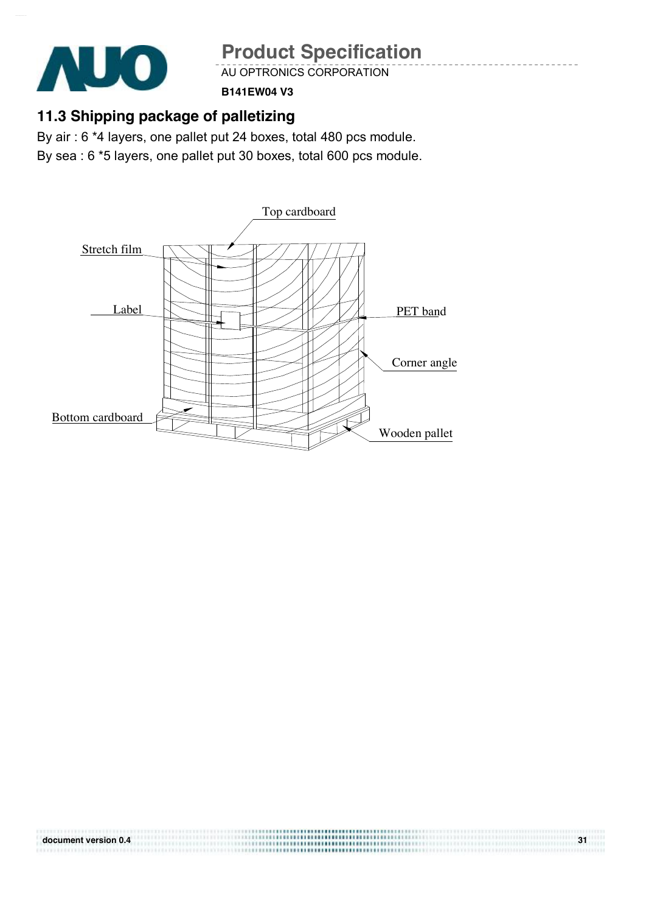![](_page_30_Picture_0.jpeg)

AU OPTRONICS CORPORATION

**B141EW04 V3**

## **11.3 Shipping package of palletizing**

By air : 6 \*4 layers, one pallet put 24 boxes, total 480 pcs module. By sea : 6 \*5 layers, one pallet put 30 boxes, total 600 pcs module.

![](_page_30_Figure_6.jpeg)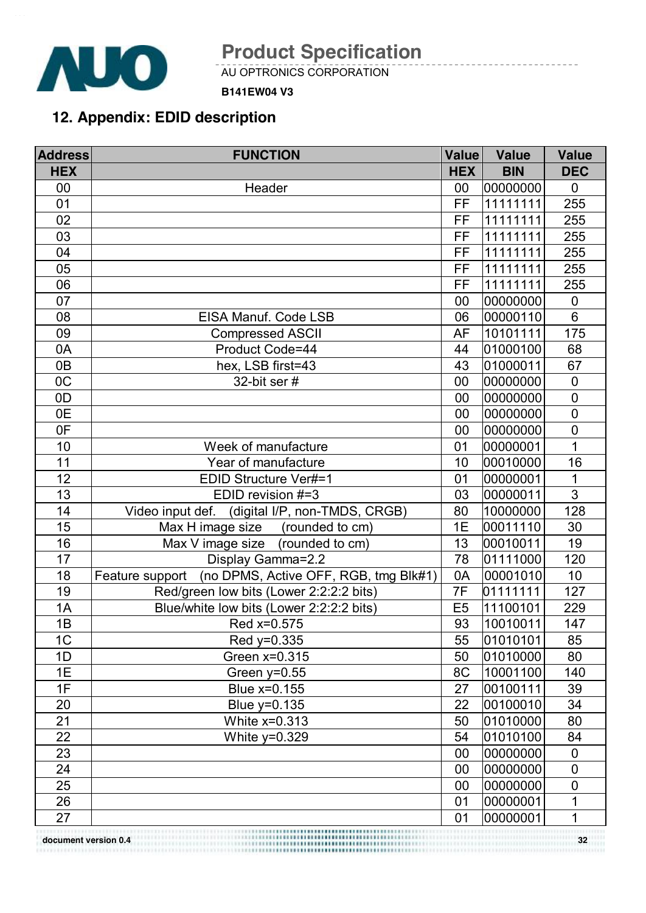![](_page_31_Picture_0.jpeg)

AU OPTRONICS CORPORATION

#### **B141EW04 V3**

## **12. Appendix: EDID description**

| <b>Address</b>                                       | <b>FUNCTION</b>                                          | <b>Value</b>   | <b>Value</b> | <b>Value</b>     |
|------------------------------------------------------|----------------------------------------------------------|----------------|--------------|------------------|
| <b>HEX</b>                                           |                                                          | <b>HEX</b>     | <b>BIN</b>   | <b>DEC</b>       |
| 00                                                   | Header                                                   | 00             | 00000000     | $\mathbf 0$      |
| 01                                                   |                                                          | FF             | 11111111     | 255              |
| 02                                                   |                                                          | <b>FF</b>      | 11111111     | 255              |
| 03                                                   |                                                          | FF             | 11111111     | 255              |
| 04                                                   |                                                          | FF             | 11111111     | 255              |
| 05                                                   |                                                          | FF             | 11111111     | 255              |
| 06                                                   |                                                          | FF             | 11111111     | 255              |
| 07                                                   |                                                          | 00             | 00000000     | $\boldsymbol{0}$ |
| 08                                                   | EISA Manuf. Code LSB                                     | 06             | 00000110     | $6\phantom{1}$   |
| 09                                                   | <b>Compressed ASCII</b>                                  | <b>AF</b>      | 10101111     | 175              |
| 0A                                                   | Product Code=44                                          | 44             | 01000100     | 68               |
| 0B                                                   | hex, LSB first=43                                        | 43             | 01000011     | 67               |
| OC                                                   | 32-bit ser #                                             | 00             | 00000000     | $\mathbf 0$      |
| 0D                                                   |                                                          | 00             | 00000000     | $\overline{0}$   |
| 0E                                                   |                                                          | 00             | 00000000     | $\mathbf 0$      |
| 0F                                                   |                                                          | 00             | 00000000     | $\mathbf 0$      |
| 10                                                   | Week of manufacture                                      | 01             | 00000001     | 1                |
| 11                                                   | Year of manufacture                                      | 10             | 00010000     | 16               |
| 12                                                   | EDID Structure Ver#=1                                    | 01             | 00000001     | 1                |
| 13                                                   | EDID revision #=3                                        | 03             | 00000011     | $\mathfrak{S}$   |
| 14                                                   | Video input def.<br>(digital I/P, non-TMDS, CRGB)        | 80             | 10000000     | 128              |
| 15                                                   | Max H image size (rounded to cm)                         | 1E             | 00011110     | 30               |
| 16                                                   | Max V image size (rounded to cm)                         | 13             | 00010011     | 19               |
| 17                                                   | Display Gamma=2.2                                        | 78             | 01111000     | 120              |
| 18                                                   | (no DPMS, Active OFF, RGB, tmg Blk#1)<br>Feature support | 0A             | 00001010     | 10               |
| 19                                                   | Red/green low bits (Lower 2:2:2:2 bits)                  | 7F             | 01111111     | 127              |
| 1A                                                   | Blue/white low bits (Lower 2:2:2:2 bits)                 | E <sub>5</sub> | 11100101     | 229              |
| 1B                                                   | Red x=0.575                                              | 93             | 10010011     | 147              |
| 1C                                                   | Red y=0.335                                              | 55             | 01010101     | 85               |
| 1D                                                   | Green x=0.315                                            | 50             | 01010000     | 80               |
| 1E                                                   | Green $y=0.55$                                           | 8C             | 10001100     | 140              |
| 1F                                                   | Blue x=0.155                                             | 27             | 00100111     | 39               |
| 20                                                   | Blue y=0.135                                             | 22             | 00100010     | 34               |
| 21                                                   | White x=0.313                                            | 50             | 01010000     | 80               |
| 22                                                   | White $y=0.329$                                          | 54             | 01010100     | 84               |
| 23                                                   |                                                          | 00             | 00000000     | $\boldsymbol{0}$ |
| 24                                                   |                                                          | 00             | 00000000     | $\mathbf 0$      |
| 25                                                   |                                                          | 00             | 00000000     | 0                |
| 26                                                   |                                                          | 01             | 00000001     | 1                |
| 27                                                   |                                                          | 01             | 00000001     | 1                |
| document version 0.4<br>3787878783333888888888888888 |                                                          |                |              | 32               |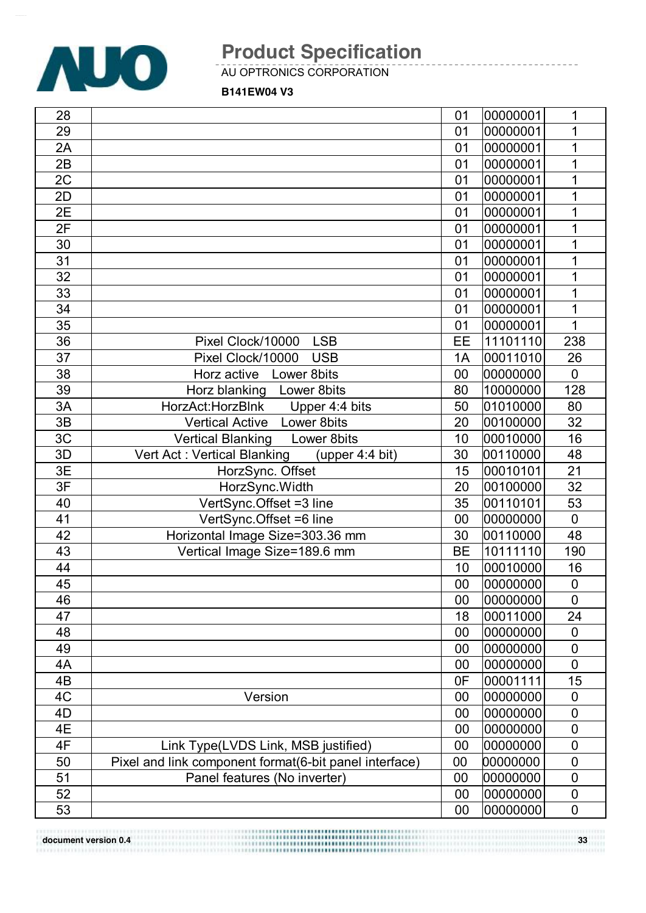![](_page_32_Picture_0.jpeg)

AU OPTRONICS CORPORATION

**B141EW04 V3**

| 28 |                                                        | 01        | 00000001 | 1              |
|----|--------------------------------------------------------|-----------|----------|----------------|
| 29 |                                                        | 01        | 00000001 | 1              |
| 2A |                                                        | 01        | 00000001 | 1              |
| 2B |                                                        | 01        | 00000001 | 1              |
| 2C |                                                        | 01        | 00000001 | 1              |
| 2D |                                                        | 01        | 00000001 | 1              |
| 2E |                                                        | 01        | 00000001 | 1              |
| 2F |                                                        | 01        | 00000001 | 1              |
| 30 |                                                        | 01        | 00000001 | 1              |
| 31 |                                                        | 01        | 00000001 | 1              |
| 32 |                                                        | 01        | 00000001 | 1              |
| 33 |                                                        | 01        | 00000001 | 1              |
| 34 |                                                        | 01        | 00000001 | 1              |
| 35 |                                                        | 01        | 00000001 | 1              |
| 36 | Pixel Clock/10000<br><b>LSB</b>                        | EE        | 11101110 | 238            |
| 37 | Pixel Clock/10000<br><b>USB</b>                        | 1A        | 00011010 | 26             |
| 38 | Horz active<br>Lower 8bits                             | 00        | 00000000 | $\mathbf 0$    |
| 39 | Horz blanking Lower 8 bits                             | 80        | 10000000 | 128            |
| 3A | HorzAct:HorzBlnk<br>Upper 4:4 bits                     | 50        | 01010000 | 80             |
| 3B | <b>Vertical Active Lower 8bits</b>                     | 20        | 00100000 | 32             |
| 3C | <b>Vertical Blanking</b><br>Lower 8bits                | 10        | 00010000 | 16             |
| 3D | Vert Act: Vertical Blanking<br>(upper 4:4 bit)         | 30        | 00110000 | 48             |
| 3E | HorzSync. Offset                                       | 15        | 00010101 | 21             |
| 3F | HorzSync.Width                                         | 20        | 00100000 | 32             |
| 40 | VertSync.Offset =3 line                                | 35        | 00110101 | 53             |
| 41 | VertSync.Offset =6 line                                | 00        | 00000000 | $\overline{0}$ |
| 42 | Horizontal Image Size=303.36 mm                        | 30        | 00110000 | 48             |
| 43 | Vertical Image Size=189.6 mm                           | <b>BE</b> | 10111110 | 190            |
| 44 |                                                        | 10        | 00010000 | 16             |
| 45 |                                                        | 00        | 00000000 | $\pmb{0}$      |
| 46 |                                                        | $00\,$    | 00000000 | $\overline{0}$ |
| 47 |                                                        | 18        | 00011000 | 24             |
| 48 |                                                        | 00        | 00000000 | 0              |
| 49 |                                                        | 00        | 00000000 | $\mathbf 0$    |
| 4A |                                                        | 00        | 00000000 | $\mathbf 0$    |
| 4B |                                                        | 0F        | 00001111 | 15             |
| 4C | Version                                                | 00        | 00000000 | 0              |
| 4D |                                                        | 00        | 00000000 | $\mathbf 0$    |
| 4E |                                                        | 00        | 00000000 | $\mathbf 0$    |
| 4F | Link Type(LVDS Link, MSB justified)                    | 00        | 00000000 | $\mathbf 0$    |
| 50 | Pixel and link component format(6-bit panel interface) | 00        | 00000000 | $\mathbf 0$    |
| 51 | Panel features (No inverter)                           | 00        | 00000000 | $\mathbf 0$    |
| 52 |                                                        | 00        | 00000000 | $\pmb{0}$      |
| 53 |                                                        | 00        | 00000000 | $\mathbf 0$    |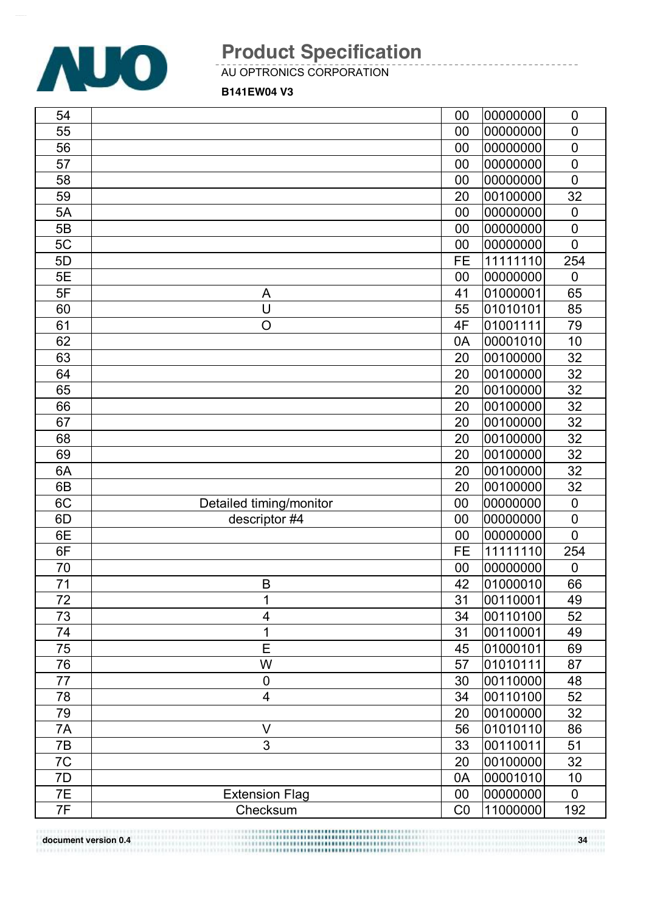![](_page_33_Picture_0.jpeg)

AU OPTRONICS CORPORATION

**B141EW04 V3**

| 55<br>$\overline{0}$<br>00<br>00000000<br>56<br>00000000<br>00<br>$\mathbf 0$<br>57<br>00<br>00000000<br>$\mathbf 0$<br>58<br>$\overline{0}$<br>00<br>00000000<br>59<br>20<br>32<br>00100000<br>00000000<br>5A<br>00<br>$\mathbf 0$<br>5B<br>00000000<br>$\mathbf 0$<br>00<br>00000000<br>5C<br>$\overline{0}$<br>00<br>5D<br><b>FE</b><br>11111110<br>254<br><b>5E</b><br>00000000<br>00<br>$\mathbf 0$<br>5F<br>01000001<br>65<br>41<br>A<br>U<br>60<br>55<br>01010101<br>85<br>$\overline{O}$<br>61<br>4F<br>01001111<br>79<br>62<br>00001010<br>10<br>0A<br>63<br>32<br>20<br>00100000<br>32<br>64<br>20<br>00100000<br>32<br>65<br>20<br>00100000<br>32<br>66<br>20<br>00100000<br>32<br>67<br>20<br>00100000<br>32<br>68<br>20<br>00100000<br>32<br>20<br>00100000<br>69<br>00100000<br>32<br>6A<br>20<br>00100000<br>32<br>6B<br>20<br>6C<br>00000000<br>$\mathbf 0$<br>Detailed timing/monitor<br>00<br>descriptor #4<br>6D<br>00<br>00000000<br>$\mathbf 0$<br>6E<br>00000000<br>$\mathbf 0$<br>00<br>11111110<br>6F<br><b>FE</b><br>254<br>70<br>00000000<br>00<br>$\mathbf 0$<br>71<br>42<br>01000010<br>66<br>B<br>00110001<br>72<br>49<br>31<br>Τ<br>73<br>52<br>$\overline{4}$<br>34<br>00110100<br>1<br>31<br>00110001<br>49<br>74<br>01000101<br>75<br>E<br>69<br>45<br>76<br>W<br>57<br>01010111<br>87<br>77<br>00110000<br>48<br>$\mathbf 0$<br>30<br>$\overline{\mathbf{4}}$<br>78<br>34<br>52<br>00110100<br>79<br>00100000<br>32<br>20<br>$\vee$<br>7A<br>56<br>01010110<br>86<br>3<br>51<br>7B<br>00110011<br>33<br>32<br>7C<br>00100000<br>20<br>7D<br>00001010<br>10<br>0A<br>7E<br>00<br>00000000<br><b>Extension Flag</b><br>$\mathbf 0$<br>7F<br>11000000<br>CO<br>192<br>Checksum | 54 | 00 | 00000000 | $\mathbf 0$ |
|---------------------------------------------------------------------------------------------------------------------------------------------------------------------------------------------------------------------------------------------------------------------------------------------------------------------------------------------------------------------------------------------------------------------------------------------------------------------------------------------------------------------------------------------------------------------------------------------------------------------------------------------------------------------------------------------------------------------------------------------------------------------------------------------------------------------------------------------------------------------------------------------------------------------------------------------------------------------------------------------------------------------------------------------------------------------------------------------------------------------------------------------------------------------------------------------------------------------------------------------------------------------------------------------------------------------------------------------------------------------------------------------------------------------------------------------------------------------------------------------------------------------------------------------------------------------------------------------------------------------------------------------------------------------------------------------------------------|----|----|----------|-------------|
|                                                                                                                                                                                                                                                                                                                                                                                                                                                                                                                                                                                                                                                                                                                                                                                                                                                                                                                                                                                                                                                                                                                                                                                                                                                                                                                                                                                                                                                                                                                                                                                                                                                                                                               |    |    |          |             |
|                                                                                                                                                                                                                                                                                                                                                                                                                                                                                                                                                                                                                                                                                                                                                                                                                                                                                                                                                                                                                                                                                                                                                                                                                                                                                                                                                                                                                                                                                                                                                                                                                                                                                                               |    |    |          |             |
|                                                                                                                                                                                                                                                                                                                                                                                                                                                                                                                                                                                                                                                                                                                                                                                                                                                                                                                                                                                                                                                                                                                                                                                                                                                                                                                                                                                                                                                                                                                                                                                                                                                                                                               |    |    |          |             |
|                                                                                                                                                                                                                                                                                                                                                                                                                                                                                                                                                                                                                                                                                                                                                                                                                                                                                                                                                                                                                                                                                                                                                                                                                                                                                                                                                                                                                                                                                                                                                                                                                                                                                                               |    |    |          |             |
|                                                                                                                                                                                                                                                                                                                                                                                                                                                                                                                                                                                                                                                                                                                                                                                                                                                                                                                                                                                                                                                                                                                                                                                                                                                                                                                                                                                                                                                                                                                                                                                                                                                                                                               |    |    |          |             |
|                                                                                                                                                                                                                                                                                                                                                                                                                                                                                                                                                                                                                                                                                                                                                                                                                                                                                                                                                                                                                                                                                                                                                                                                                                                                                                                                                                                                                                                                                                                                                                                                                                                                                                               |    |    |          |             |
|                                                                                                                                                                                                                                                                                                                                                                                                                                                                                                                                                                                                                                                                                                                                                                                                                                                                                                                                                                                                                                                                                                                                                                                                                                                                                                                                                                                                                                                                                                                                                                                                                                                                                                               |    |    |          |             |
|                                                                                                                                                                                                                                                                                                                                                                                                                                                                                                                                                                                                                                                                                                                                                                                                                                                                                                                                                                                                                                                                                                                                                                                                                                                                                                                                                                                                                                                                                                                                                                                                                                                                                                               |    |    |          |             |
|                                                                                                                                                                                                                                                                                                                                                                                                                                                                                                                                                                                                                                                                                                                                                                                                                                                                                                                                                                                                                                                                                                                                                                                                                                                                                                                                                                                                                                                                                                                                                                                                                                                                                                               |    |    |          |             |
|                                                                                                                                                                                                                                                                                                                                                                                                                                                                                                                                                                                                                                                                                                                                                                                                                                                                                                                                                                                                                                                                                                                                                                                                                                                                                                                                                                                                                                                                                                                                                                                                                                                                                                               |    |    |          |             |
|                                                                                                                                                                                                                                                                                                                                                                                                                                                                                                                                                                                                                                                                                                                                                                                                                                                                                                                                                                                                                                                                                                                                                                                                                                                                                                                                                                                                                                                                                                                                                                                                                                                                                                               |    |    |          |             |
|                                                                                                                                                                                                                                                                                                                                                                                                                                                                                                                                                                                                                                                                                                                                                                                                                                                                                                                                                                                                                                                                                                                                                                                                                                                                                                                                                                                                                                                                                                                                                                                                                                                                                                               |    |    |          |             |
|                                                                                                                                                                                                                                                                                                                                                                                                                                                                                                                                                                                                                                                                                                                                                                                                                                                                                                                                                                                                                                                                                                                                                                                                                                                                                                                                                                                                                                                                                                                                                                                                                                                                                                               |    |    |          |             |
|                                                                                                                                                                                                                                                                                                                                                                                                                                                                                                                                                                                                                                                                                                                                                                                                                                                                                                                                                                                                                                                                                                                                                                                                                                                                                                                                                                                                                                                                                                                                                                                                                                                                                                               |    |    |          |             |
|                                                                                                                                                                                                                                                                                                                                                                                                                                                                                                                                                                                                                                                                                                                                                                                                                                                                                                                                                                                                                                                                                                                                                                                                                                                                                                                                                                                                                                                                                                                                                                                                                                                                                                               |    |    |          |             |
|                                                                                                                                                                                                                                                                                                                                                                                                                                                                                                                                                                                                                                                                                                                                                                                                                                                                                                                                                                                                                                                                                                                                                                                                                                                                                                                                                                                                                                                                                                                                                                                                                                                                                                               |    |    |          |             |
|                                                                                                                                                                                                                                                                                                                                                                                                                                                                                                                                                                                                                                                                                                                                                                                                                                                                                                                                                                                                                                                                                                                                                                                                                                                                                                                                                                                                                                                                                                                                                                                                                                                                                                               |    |    |          |             |
|                                                                                                                                                                                                                                                                                                                                                                                                                                                                                                                                                                                                                                                                                                                                                                                                                                                                                                                                                                                                                                                                                                                                                                                                                                                                                                                                                                                                                                                                                                                                                                                                                                                                                                               |    |    |          |             |
|                                                                                                                                                                                                                                                                                                                                                                                                                                                                                                                                                                                                                                                                                                                                                                                                                                                                                                                                                                                                                                                                                                                                                                                                                                                                                                                                                                                                                                                                                                                                                                                                                                                                                                               |    |    |          |             |
|                                                                                                                                                                                                                                                                                                                                                                                                                                                                                                                                                                                                                                                                                                                                                                                                                                                                                                                                                                                                                                                                                                                                                                                                                                                                                                                                                                                                                                                                                                                                                                                                                                                                                                               |    |    |          |             |
|                                                                                                                                                                                                                                                                                                                                                                                                                                                                                                                                                                                                                                                                                                                                                                                                                                                                                                                                                                                                                                                                                                                                                                                                                                                                                                                                                                                                                                                                                                                                                                                                                                                                                                               |    |    |          |             |
|                                                                                                                                                                                                                                                                                                                                                                                                                                                                                                                                                                                                                                                                                                                                                                                                                                                                                                                                                                                                                                                                                                                                                                                                                                                                                                                                                                                                                                                                                                                                                                                                                                                                                                               |    |    |          |             |
|                                                                                                                                                                                                                                                                                                                                                                                                                                                                                                                                                                                                                                                                                                                                                                                                                                                                                                                                                                                                                                                                                                                                                                                                                                                                                                                                                                                                                                                                                                                                                                                                                                                                                                               |    |    |          |             |
|                                                                                                                                                                                                                                                                                                                                                                                                                                                                                                                                                                                                                                                                                                                                                                                                                                                                                                                                                                                                                                                                                                                                                                                                                                                                                                                                                                                                                                                                                                                                                                                                                                                                                                               |    |    |          |             |
|                                                                                                                                                                                                                                                                                                                                                                                                                                                                                                                                                                                                                                                                                                                                                                                                                                                                                                                                                                                                                                                                                                                                                                                                                                                                                                                                                                                                                                                                                                                                                                                                                                                                                                               |    |    |          |             |
|                                                                                                                                                                                                                                                                                                                                                                                                                                                                                                                                                                                                                                                                                                                                                                                                                                                                                                                                                                                                                                                                                                                                                                                                                                                                                                                                                                                                                                                                                                                                                                                                                                                                                                               |    |    |          |             |
|                                                                                                                                                                                                                                                                                                                                                                                                                                                                                                                                                                                                                                                                                                                                                                                                                                                                                                                                                                                                                                                                                                                                                                                                                                                                                                                                                                                                                                                                                                                                                                                                                                                                                                               |    |    |          |             |
|                                                                                                                                                                                                                                                                                                                                                                                                                                                                                                                                                                                                                                                                                                                                                                                                                                                                                                                                                                                                                                                                                                                                                                                                                                                                                                                                                                                                                                                                                                                                                                                                                                                                                                               |    |    |          |             |
|                                                                                                                                                                                                                                                                                                                                                                                                                                                                                                                                                                                                                                                                                                                                                                                                                                                                                                                                                                                                                                                                                                                                                                                                                                                                                                                                                                                                                                                                                                                                                                                                                                                                                                               |    |    |          |             |
|                                                                                                                                                                                                                                                                                                                                                                                                                                                                                                                                                                                                                                                                                                                                                                                                                                                                                                                                                                                                                                                                                                                                                                                                                                                                                                                                                                                                                                                                                                                                                                                                                                                                                                               |    |    |          |             |
|                                                                                                                                                                                                                                                                                                                                                                                                                                                                                                                                                                                                                                                                                                                                                                                                                                                                                                                                                                                                                                                                                                                                                                                                                                                                                                                                                                                                                                                                                                                                                                                                                                                                                                               |    |    |          |             |
|                                                                                                                                                                                                                                                                                                                                                                                                                                                                                                                                                                                                                                                                                                                                                                                                                                                                                                                                                                                                                                                                                                                                                                                                                                                                                                                                                                                                                                                                                                                                                                                                                                                                                                               |    |    |          |             |
|                                                                                                                                                                                                                                                                                                                                                                                                                                                                                                                                                                                                                                                                                                                                                                                                                                                                                                                                                                                                                                                                                                                                                                                                                                                                                                                                                                                                                                                                                                                                                                                                                                                                                                               |    |    |          |             |
|                                                                                                                                                                                                                                                                                                                                                                                                                                                                                                                                                                                                                                                                                                                                                                                                                                                                                                                                                                                                                                                                                                                                                                                                                                                                                                                                                                                                                                                                                                                                                                                                                                                                                                               |    |    |          |             |
|                                                                                                                                                                                                                                                                                                                                                                                                                                                                                                                                                                                                                                                                                                                                                                                                                                                                                                                                                                                                                                                                                                                                                                                                                                                                                                                                                                                                                                                                                                                                                                                                                                                                                                               |    |    |          |             |
|                                                                                                                                                                                                                                                                                                                                                                                                                                                                                                                                                                                                                                                                                                                                                                                                                                                                                                                                                                                                                                                                                                                                                                                                                                                                                                                                                                                                                                                                                                                                                                                                                                                                                                               |    |    |          |             |
|                                                                                                                                                                                                                                                                                                                                                                                                                                                                                                                                                                                                                                                                                                                                                                                                                                                                                                                                                                                                                                                                                                                                                                                                                                                                                                                                                                                                                                                                                                                                                                                                                                                                                                               |    |    |          |             |
|                                                                                                                                                                                                                                                                                                                                                                                                                                                                                                                                                                                                                                                                                                                                                                                                                                                                                                                                                                                                                                                                                                                                                                                                                                                                                                                                                                                                                                                                                                                                                                                                                                                                                                               |    |    |          |             |
|                                                                                                                                                                                                                                                                                                                                                                                                                                                                                                                                                                                                                                                                                                                                                                                                                                                                                                                                                                                                                                                                                                                                                                                                                                                                                                                                                                                                                                                                                                                                                                                                                                                                                                               |    |    |          |             |
|                                                                                                                                                                                                                                                                                                                                                                                                                                                                                                                                                                                                                                                                                                                                                                                                                                                                                                                                                                                                                                                                                                                                                                                                                                                                                                                                                                                                                                                                                                                                                                                                                                                                                                               |    |    |          |             |
|                                                                                                                                                                                                                                                                                                                                                                                                                                                                                                                                                                                                                                                                                                                                                                                                                                                                                                                                                                                                                                                                                                                                                                                                                                                                                                                                                                                                                                                                                                                                                                                                                                                                                                               |    |    |          |             |
|                                                                                                                                                                                                                                                                                                                                                                                                                                                                                                                                                                                                                                                                                                                                                                                                                                                                                                                                                                                                                                                                                                                                                                                                                                                                                                                                                                                                                                                                                                                                                                                                                                                                                                               |    |    |          |             |
|                                                                                                                                                                                                                                                                                                                                                                                                                                                                                                                                                                                                                                                                                                                                                                                                                                                                                                                                                                                                                                                                                                                                                                                                                                                                                                                                                                                                                                                                                                                                                                                                                                                                                                               |    |    |          |             |

**document version 0.4 34**